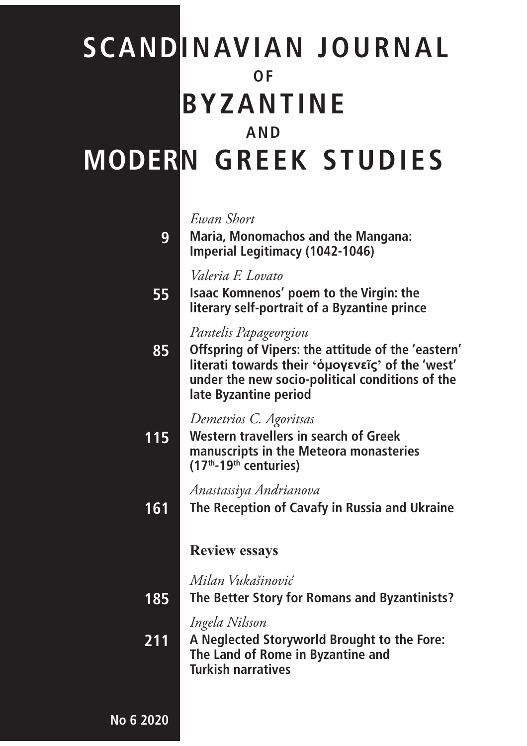# **SCANDINAVIAN JOURNAL OF BYZANTINE AND MODERN GREEK STUDIES**

#### *Ewan Short*

**9**

**55**

**Maria, Monomachos and the Mangana: Imperial Legitimacy (1042-1046)**

*Valeria F. Lovato*

**Isaac Komnenos' poem to the Virgin: the literary self-portrait of a Byzantine prince**

### *Pantelis Papageorgiou*

**85 Offspring of Vipers: the attitude of the 'eastern' literati towards their 'ὁμογενεῖς' of the 'west' under the new socio-political conditions of the late Byzantine period**

### *Demetrios C. Agoritsas*

**115 Western travellers in search of Greek manuscripts in the Meteora monasteries (17th-19th centuries)**

*Anastassiya Andrianova*

**161 The Reception of Cavafy in Russia and Ukraine**

### **Review essays**

*Milan Vukašinović*

**185 The Better Story for Romans and Byzantinists?**

*Ingela Nilsson*

**211 A Neglected Storyworld Brought to the Fore: The Land of Rome in Byzantine and Turkish narratives**

**ISSN 2002-0007 No 6 2020**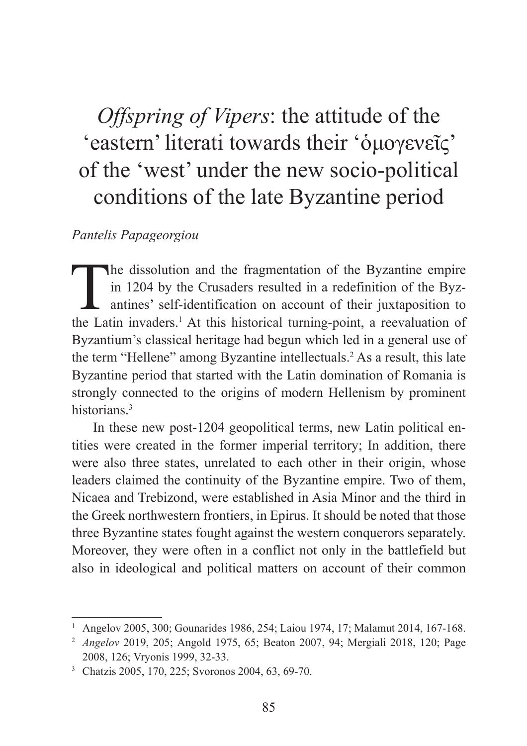## *Offspring of Vipers*: the attitude of the 'eastern' literati towards their ' όμογενεῖς' of the 'west' under the new socio-political conditions of the late Byzantine period

### *Pantelis Papageorgiou*

The dissolution and the fragmentation of the Byzantine empire<br>in 1204 by the Crusaders resulted in a redefinition of the Byz-<br>antines' self-identification on account of their juxtaposition to<br>the Letin inveders LAt this hi in 1204 by the Crusaders resulted in a redefinition of the Byzantines' self-identification on account of their juxtaposition to the Latin invaders.<sup>1</sup> At this historical turning-point, a reevaluation of Byzantium's classical heritage had begun which led in a general use of the term "Hellene" among Byzantine intellectuals.<sup>2</sup> As a result, this late Byzantine period that started with the Latin domination of Romania is strongly connected to the origins of modern Hellenism by prominent historians.<sup>3</sup>

In these new post-1204 geopolitical terms, new Latin political entities were created in the former imperial territory; In addition, there were also three states, unrelated to each other in their origin, whose leaders claimed the continuity of the Byzantine empire. Two of them, Nicaea and Trebizond, were established in Asia Minor and the third in the Greek northwestern frontiers, in Epirus. It should be noted that those three Byzantine states fought against the western conquerors separately. Moreover, they were often in a conflict not only in the battlefield but also in ideological and political matters on account of their common

<sup>1</sup> Angelov 2005, 300; Gounarides 1986, 254; Laiou 1974, 17; Malamut 2014, 167-168.

<sup>2</sup> *Angelov* 2019, 205; Angold 1975, 65; Beaton 2007, 94; Mergiali 2018, 120; Page 2008, 126; Vryonis 1999, 32-33.

<sup>3</sup> Chatzis 2005, 170, 225; Svoronos 2004, 63, 69-70.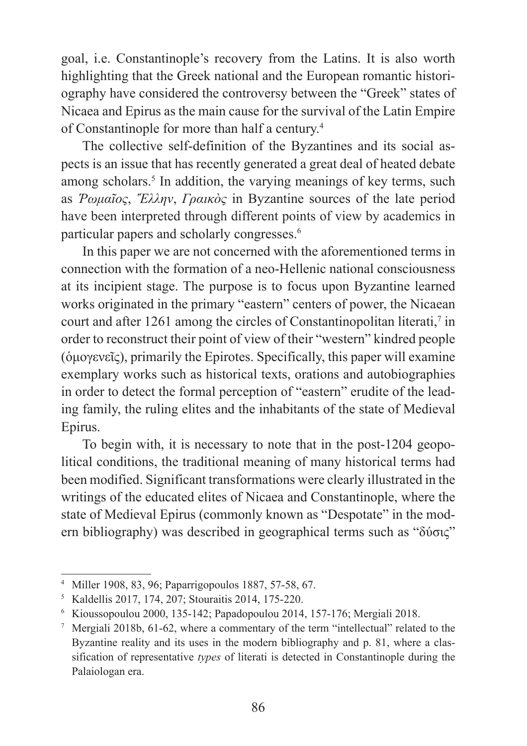goal, i.e. Constantinople's recovery from the Latins. It is also worth highlighting that the Greek national and the European romantic historiography have considered the controversy between the "Greek" states of Nicaea and Epirus as the main cause for the survival of the Latin Empire of Constantinople for more than half a century.4

The collective self-definition of the Byzantines and its social aspects is an issue that has recently generated a great deal of heated debate among scholars.<sup>5</sup> In addition, the varying meanings of key terms, such as *Ῥωμαῖος*, *Ἕλλην*, *Γραικὸς* in Byzantine sources of the late period have been interpreted through different points of view by academics in particular papers and scholarly congresses.6

In this paper we are not concerned with the aforementioned terms in connection with the formation of a neo-Hellenic national consciousness at its incipient stage. The purpose is to focus upon Byzantine learned works originated in the primary "eastern" centers of power, the Nicaean court and after 1261 among the circles of Constantinopolitan literati,<sup>7</sup> in order to reconstruct their point of view of their "western" kindred people (ὁμογενεῖς), primarily the Epirotes. Specifically, this paper will examine exemplary works such as historical texts, orations and autobiographies in order to detect the formal perception of "eastern" erudite of the leading family, the ruling elites and the inhabitants of the state of Medieval Epirus.

To begin with, it is necessary to note that in the post-1204 geopolitical conditions, the traditional meaning of many historical terms had been modified. Significant transformations were clearly illustrated in the writings of the educated elites of Nicaea and Constantinople, where the state of Medieval Epirus (commonly known as "Despotate" in the modern bibliography) was described in geographical terms such as "δύσις"

<sup>4</sup> Miller 1908, 83, 96; Paparrigopoulos 1887, 57-58, 67.

<sup>5</sup> Kaldellis 2017, 174, 207; Stouraitis 2014, 175-220.

<sup>6</sup> Kioussopoulou 2000, 135-142; Papadopoulou 2014, 157-176; Mergiali 2018.

Mergiali 2018b, 61-62, where a commentary of the term "intellectual" related to the Byzantine reality and its uses in the modern bibliography and p. 81, where a classification of representative *types* of literati is detected in Constantinople during the Palaiologan era.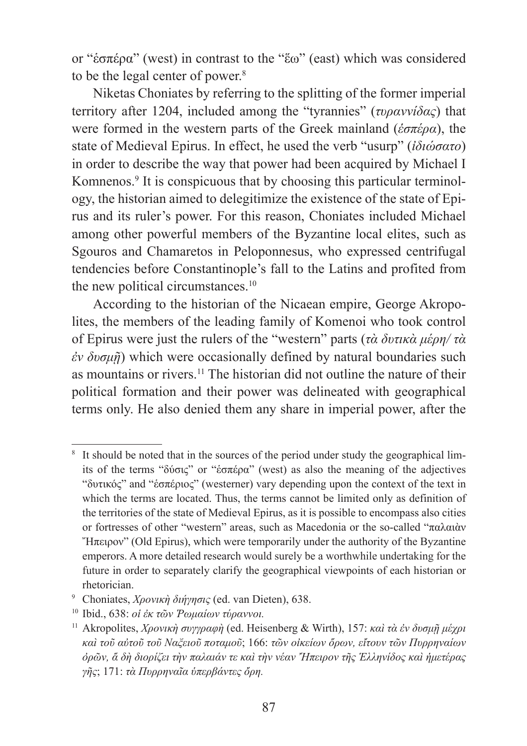or "ἑσπέρα" (west) in contrast to the "ἕω" (east) which was considered to be the legal center of power.<sup>8</sup>

Niketas Choniates by referring to the splitting of the former imperial territory after 1204, included among the "tyrannies" (*τυραννίδας*) that were formed in the western parts of the Greek mainland (*ἑσπέρα*), the state of Medieval Epirus. In effect, he used the verb "usurp" (*ἰδιώσατο*) in order to describe the way that power had been acquired by Michael I Komnenos.<sup>9</sup> It is conspicuous that by choosing this particular terminology, the historian aimed to delegitimize the existence of the state of Epirus and its ruler's power. For this reason, Choniates included Michael among other powerful members of the Byzantine local elites, such as Sgouros and Chamaretos in Peloponnesus, who expressed centrifugal tendencies before Constantinople's fall to the Latins and profited from the new political circumstances.<sup>10</sup>

According to the historian of the Nicaean empire, George Akropolites, the members of the leading family of Komenoi who took control of Epirus were just the rulers of the "western" parts (*τὰ δυτικὰ μέρη/ τὰ ἐν δυσμῇ*) which were occasionally defined by natural boundaries such as mountains or rivers.11 The historian did not outline the nature of their political formation and their power was delineated with geographical terms only. He also denied them any share in imperial power, after the

<sup>&</sup>lt;sup>8</sup> It should be noted that in the sources of the period under study the geographical limits of the terms "δύσις" or "ἑσπέρα" (west) as also the meaning of the adjectives "δυτικός" and "ἑσπέριος" (westerner) vary depending upon the context of the text in which the terms are located. Thus, the terms cannot be limited only as definition of the territories of the state of Medieval Epirus, as it is possible to encompass also cities or fortresses of other "western" areas, such as Macedonia or the so-called "παλαιὰν "H $\pi$ ειρον" (Old Epirus), which were temporarily under the authority of the Byzantine emperors. A more detailed research would surely be a worthwhile undertaking for the future in order to separately clarify the geographical viewpoints of each historian or rhetorician.

<sup>9</sup> Choniates, *Χρονικὴ διήγησις* (ed. van Dieten), 638.

<sup>10</sup> Ibid., 638: *οἱ ἐκ τῶν Ῥωμαίων τύραννοι.*

<sup>11</sup> Akropolites, *Χρονικὴ συγγραφὴ* (ed. Heisenberg & Wirth), 157: *καὶ τὰ ἐν δυσμῇ μέχρι καὶ τοῦ αὐτοῦ τοῦ ȃαξειοῦ ποταμοῦ*; 166: *τῶν οἰκείων ὅρων, εἴτουν τῶν Πυρρηναίων ὀρῶν, ἅ δὴ διορίζει τὴν παλαιάν τε καὶ τὴν νέαν Ἤπειρον τῆς Ἑλληνίδος καὶ ἡμετέρας γῆς*; 171: *τὰ Πυρρηναῖα ὑπερβάντες ὄρη.*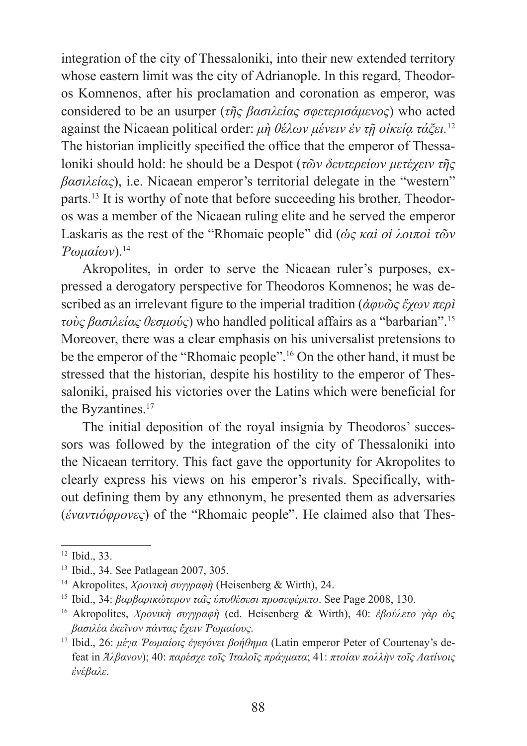integration of the city of Thessaloniki, into their new extended territory whose eastern limit was the city of Adrianople. In this regard, Theodoros Komnenos, after his proclamation and coronation as emperor, was considered to be an usurper (*τῆς βασιλείας σφετερισάμενος*) who acted against the Nicaean political order: *μὴ θέλων μένειν ἐν τῇ οἰκείᾳ τάξει.* 12 The historian implicitly specified the office that the emperor of Thessaloniki should hold: he should be a Despot (*τῶν δευτερείων μετέχειν τῆς βασιλείας*), i.e. Nicaean emperor's territorial delegate in the "western" parts.13 It is worthy of note that before succeeding his brother, Theodoros was a member of the Nicaean ruling elite and he served the emperor Laskaris as the rest of the "Rhomaic people" did (*ὡς καὶ οἱ λοιποὶ τῶν Ῥωμαίων*).<sup>14</sup>

Akropolites, in order to serve the Nicaean ruler's purposes, expressed a derogatory perspective for Theodoros Komnenos; he was described as an irrelevant figure to the imperial tradition (*ἀφυῶς ἔχων περὶ τοὺς βασιλείας θεσμούς*) who handled political affairs as a "barbarian".<sup>15</sup> Moreover, there was a clear emphasis on his universalist pretensions to be the emperor of the "Rhomaic people".16 On the other hand, it must be stressed that the historian, despite his hostility to the emperor of Thessaloniki, praised his victories over the Latins which were beneficial for the Byzantines.<sup>17</sup>

The initial deposition of the royal insignia by Theodoros' successors was followed by the integration of the city of Thessaloniki into the Nicaean territory. This fact gave the opportunity for Akropolites to clearly express his views on his emperor's rivals. Specifically, without defining them by any ethnonym, he presented them as adversaries (*ἐναντιόφρονες*) of the "Rhomaic people". He claimed also that Thes-

<sup>12</sup> Ibid., 33.

<sup>13</sup> Ibid., 34. See Patlagean 2007, 305.

<sup>14</sup> Akropolites, *Χρονικὴ συγγραφὴ* (Heisenberg & Wirth), 24.

<sup>15</sup> Ibid., 34: *βαρβαρικώτερον ταῖς ὑποθέσεσι προσεφέρετο*. See Page 2008, 130.

<sup>16</sup> Akropolites, *Χρονικὴ συγγραφὴ* (ed. Heisenberg & Wirth), 40: *ἐβούλετο γὰρ ὡς βασιλέα ἐκεῖνον πάντας ἔχειν Ῥωμαίους*.

<sup>17</sup> Ibid., 26: *μέγα Ῥωμαίοις ἐγεγόνει βοήθημα* (Latin emperor Peter of Courtenay's defeat in *Ἄλβανον*); 40: *παρέσχε τοῖς Ἰταλοῖς πράγματα*; 41: *πτοίαν πολλὴν τοῖς ȁατίνοις ἐνέβαλε*.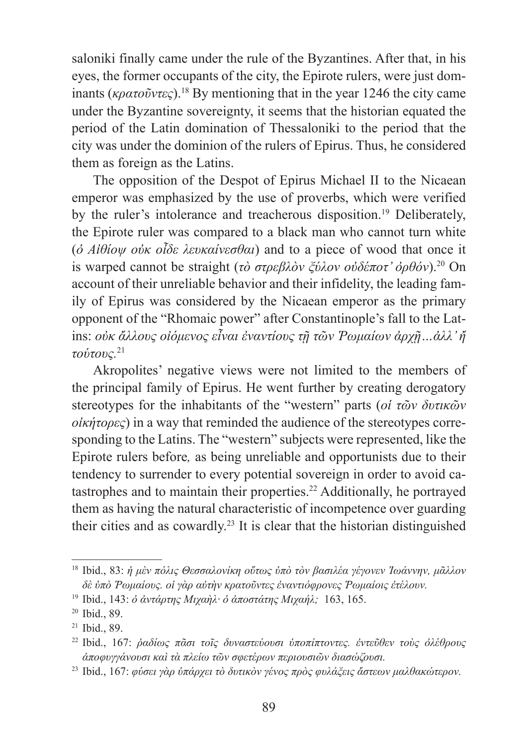saloniki finally came under the rule of the Byzantines. After that, in his eyes, the former occupants of the city, the Epirote rulers, were just dominants ( $\kappa \rho \alpha \tau \sigma \tilde{\nu} \nu \tau \epsilon \varsigma$ ).<sup>18</sup> By mentioning that in the year 1246 the city came under the Byzantine sovereignty, it seems that the historian equated the period of the Latin domination of Thessaloniki to the period that the city was under the dominion of the rulers of Epirus. Thus, he considered them as foreign as the Latins.

The opposition of the Despot of Epirus Michael II to the Nicaean emperor was emphasized by the use of proverbs, which were verified by the ruler's intolerance and treacherous disposition.<sup>19</sup> Deliberately, the Epirote ruler was compared to a black man who cannot turn white (*ὁ Αἰθίοψ οὐκ οἶδε λευκαίνεσθαι*) and to a piece of wood that once it is warped cannot be straight (*τὸ στρεβλὸν ξύλον οὐδέποτ' ὀρθόν*).20 On account of their unreliable behavior and their infidelity, the leading family of Epirus was considered by the Nicaean emperor as the primary opponent of the "Rhomaic power" after Constantinople's fall to the Latins: *οὐκ ἄλλους οἰόμενος εἶναι ἐναντίους τῇ τῶν Ῥωμαίων ἀρχῇ…ἀλλ' ἤ τούτους.* 21

Akropolites' negative views were not limited to the members of the principal family of Epirus. He went further by creating derogatory stereotypes for the inhabitants of the "western" parts (*οἱ τῶν δυτικῶν οἰκήτορες*) in a way that reminded the audience of the stereotypes corresponding to the Latins. The "western" subjects were represented, like the Epirote rulers before*,* as being unreliable and opportunists due to their tendency to surrender to every potential sovereign in order to avoid catastrophes and to maintain their properties.22 Additionally, he portrayed them as having the natural characteristic of incompetence over guarding their cities and as cowardly.23 It is clear that the historian distinguished

<sup>18</sup> Ibid., 83: *ἡ μὲν πόλις Θεσσαλονίκη οὕτως ὑπὸ τὸν βασιλέα γέγονεν Ἰωάννην, μᾶλλον δὲ ὑπὸ Ῥωμαίους. οἱ γὰρ αὐτὴν κρατοῦντες ἐναντιόφρονες Ῥωμαίοις ἐτέλουν.*

<sup>19</sup> Ibid., 143: *ὁ ἀντάρτης Ȃιχαὴλ· ὁ ἀποστάτης Ȃιχαήλ;* 163, 165.

<sup>20</sup> Ibid., 89.

<sup>21</sup> Ibid., 89.

<sup>22</sup> Ibid., 167: *ῥαδίως πᾶσι τοῖς δυναστεύουσι ὑποπίπτοντες. ἐντεῦθεν τοὺς ὀλέθρους ἀποφυγγάνουσι καὶ τὰ πλείω τῶν σφετέρων περιουσιῶν διασώζουσι.*

<sup>23</sup> Ibid., 167: *φύσει γὰρ ὑπάρχει τὸ δυτικὸν γένος πρὸς φυλάξεις ἄστεων μαλθακώτερον.*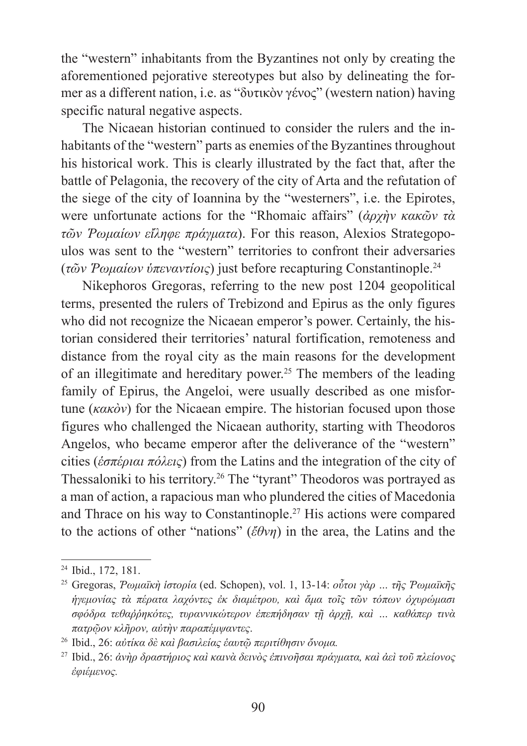the "western" inhabitants from the Byzantines not only by creating the aforementioned pejorative stereotypes but also by delineating the former as a different nation, i.e. as "δυτικὸν γένος" (western nation) having specific natural negative aspects.

The Nicaean historian continued to consider the rulers and the inhabitants of the "western" parts as enemies of the Byzantines throughout his historical work. This is clearly illustrated by the fact that, after the battle of Pelagonia, the recovery of the city of Arta and the refutation of the siege of the city of Ioannina by the "westerners", i.e. the Epirotes, were unfortunate actions for the "Rhomaic affairs" (*ἀρχὴν κακῶν τὰ τῶν Ῥωμαίων εἴληφε πράγματα*). For this reason, Alexios Strategopoulos was sent to the "western" territories to confront their adversaries (*τῶν Ῥωμαίων ὑπεναντίοις*) just before recapturing Constantinople.<sup>24</sup>

Nikephoros Gregoras, referring to the new post 1204 geopolitical terms, presented the rulers of Trebizond and Epirus as the only figures who did not recognize the Nicaean emperor's power. Certainly, the historian considered their territories' natural fortification, remoteness and distance from the royal city as the main reasons for the development of an illegitimate and hereditary power.<sup>25</sup> The members of the leading family of Epirus, the Angeloi, were usually described as one misfortune (*κακὸν*) for the Nicaean empire. The historian focused upon those figures who challenged the Nicaean authority, starting with Theodoros Angelos, who became emperor after the deliverance of the "western" cities (*ἑσπέριαι πόλεις*) from the Latins and the integration of the city of Thessaloniki to his territory.26 The "tyrant" Theodoros was portrayed as a man of action, a rapacious man who plundered the cities of Macedonia and Thrace on his way to Constantinople.<sup>27</sup> His actions were compared to the actions of other "nations" (*ἔθνη*) in the area, the Latins and the

<sup>24</sup> Ibid., 172, 181.

<sup>25</sup> Gregoras, *Ῥωμαϊκὴ ἱστορία* (ed. Schopen), vol. 1, 13-14: *οὗτοι γὰρ … τῆς Ῥωμαϊκῆς ἡγεμονίας τὰ πέρατα λαχόντες ἐκ διαμέτρου, καὶ ἅμα τοῖς τῶν τόπων ὀχυρώμασι σφόδρα τεθαῤῥηκότες, τυραννικώτερον ἐπεπήδησαν τῇ ἀρχῇ, καὶ … καθάπερ τινὰ πατρῷον κλῆρον, αὐτὴν παραπέμψαντες*.

<sup>26</sup> Ibid., 26: *αὐτίκα δὲ καὶ βασιλείας ἑαυτῷ περιτίθησιν ὄνομα.*

<sup>27</sup> Ibid., 26: *ἀνὴρ δραστήριος καὶ καινὰ δεινὸς ἐπινοῆσαι πράγματα, καὶ ἀεὶ τοῦ πλείονος ἐφιέμενος.*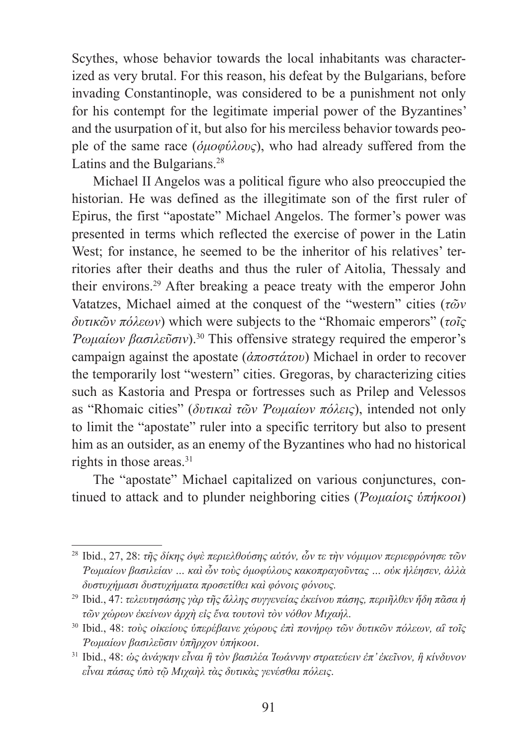Scythes, whose behavior towards the local inhabitants was characterized as very brutal. For this reason, his defeat by the Bulgarians, before invading Constantinople, was considered to be a punishment not only for his contempt for the legitimate imperial power of the Byzantines' and the usurpation of it, but also for his merciless behavior towards people of the same race (*ὁμοφύλους*), who had already suffered from the Latins and the Bulgarians.<sup>28</sup>

Michael II Angelos was a political figure who also preoccupied the historian. He was defined as the illegitimate son of the first ruler of Epirus, the first "apostate" Michael Angelos. The former's power was presented in terms which reflected the exercise of power in the Latin West; for instance, he seemed to be the inheritor of his relatives' territories after their deaths and thus the ruler of Aitolia, Thessaly and their environs.29 After breaking a peace treaty with the emperor John Vatatzes, Michael aimed at the conquest of the "western" cities (*τῶν δυτικῶν πόλεων*) which were subjects to the "Rhomaic emperors" (*τοῖς Ῥωμαίων βασιλεῦσιν*).30 This offensive strategy required the emperor's campaign against the apostate (*ἀποστάτου*) Michael in order to recover the temporarily lost "western" cities. Gregoras, by characterizing cities such as Kastoria and Prespa or fortresses such as Prilep and Velessos as "Rhomaic cities" (*δυτικαὶ τῶν Ῥωμαίων πόλεις*), intended not only to limit the "apostate" ruler into a specific territory but also to present him as an outsider, as an enemy of the Byzantines who had no historical rights in those areas.<sup>31</sup>

The "apostate" Michael capitalized on various conjunctures, continued to attack and to plunder neighboring cities (*Ῥωμαίοις ὑπήκοοι*)

<sup>28</sup> Ibid., 27, 28: *τῆς δίκης ὀψὲ περιελθούσης αὐτόν, ὧν τε τὴν νόμιμον περιεφρόνησε τῶν Ῥωμαίων βασιλείαν … καὶ ὧν τοὺς ὁμοφύλους κακοπραγοῦντας … οὐκ ἠλέησεν, ἀλλὰ δυστυχήμασι δυστυχήματα προσετίθει καὶ φόνοις φόνους.*

<sup>29</sup> Ibid., 47: *τελευτησάσης γὰρ τῆς ἄλλης συγγενείας ἐκείνου πάσης, περιῆλθεν ἤδη πᾶσα ἡ τῶν χώρων ἐκείνων ἀρχὴ εἰς ἕνα τουτονὶ τὸν νόθον Ȃιχαήλ*.

<sup>30</sup> Ibid., 48: *τοὺς οἰκείους ὑπερέβαινε χώρους ἐπὶ πονήρῳ τῶν δυτικῶν πόλεων, αἳ τοῖς Ῥωμαίων βασιλεῦσιν ὑπῆρχον ὑπήκοοι*.

<sup>31</sup> Ibid., 48: *ὡς ἀνάγκην εἶναι ἢ τὸν βασιλέα Ἰωάννην στρατεύειν ἐπ' ἐκεῖνον, ἢ κίνδυνον εἶναι πάσας ὑπὸ τῷ Ȃιχαὴλ τὰς δυτικὰς γενέσθαι πόλεις*.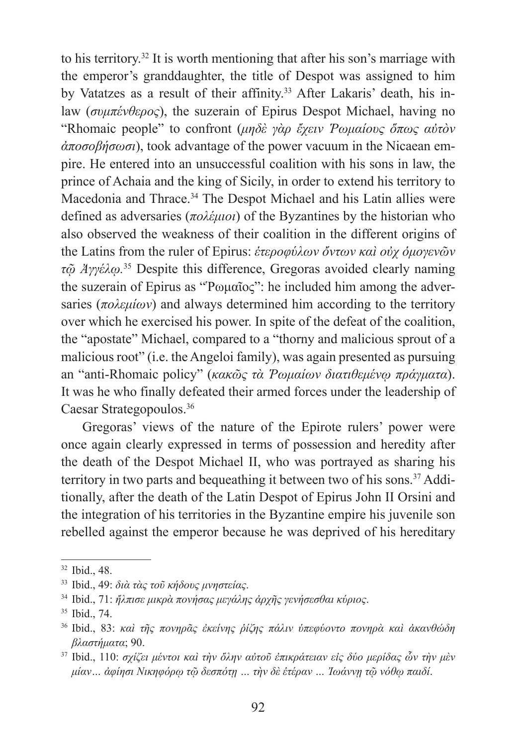to his territory.32 It is worth mentioning that after his son's marriage with the emperor's granddaughter, the title of Despot was assigned to him by Vatatzes as a result of their affinity.<sup>33</sup> After Lakaris' death, his inlaw (*συμπένθερος*), the suzerain of Epirus Despot Michael, having no "Rhomaic people" to confront (*μηδὲ γὰρ ἔχειν Ῥωμαίους ὅπως αὐτὸν ἀποσοβήσωσι*), took advantage of the power vacuum in the Nicaean empire. He entered into an unsuccessful coalition with his sons in law, the prince of Achaia and the king of Sicily, in order to extend his territory to Macedonia and Thrace.<sup>34</sup> The Despot Michael and his Latin allies were defined as adversaries (*πολέμιοι*) of the Byzantines by the historian who also observed the weakness of their coalition in the different origins of the Latins from the ruler of Epirus: *ἑτεροφύλων ὄντων καὶ οὐχ ὁμογενῶν τῷ Ἀγγέλῳ.* 35 Despite this difference, Gregoras avoided clearly naming the suzerain of Epirus as "Ῥωμαῖος": he included him among the adversaries (*πολεμίων*) and always determined him according to the territory over which he exercised his power. In spite of the defeat of the coalition, the "apostate" Michael, compared to a "thorny and malicious sprout of a malicious root" (i.e. the Angeloi family), was again presented as pursuing an "anti-Rhomaic policy" (*κακῶς τὰ Ῥωμαίων διατιθεμένῳ πράγματα*). It was he who finally defeated their armed forces under the leadership of Caesar Strategopoulos.36

Gregoras' views of the nature of the Epirote rulers' power were once again clearly expressed in terms of possession and heredity after the death of the Despot Michael II, who was portrayed as sharing his territory in two parts and bequeathing it between two of his sons.<sup>37</sup> Additionally, after the death of the Latin Despot of Epirus John II Orsini and the integration of his territories in the Byzantine empire his juvenile son rebelled against the emperor because he was deprived of his hereditary

<sup>32</sup> Ibid., 48.

<sup>33</sup> Ibid., 49: *διὰ τὰς τοῦ κήδους μνηστείας*.

<sup>34</sup> Ibid., 71: *ἤλπισε μικρὰ πονήσας μεγάλης ἀρχῆς γενήσεσθαι κύριος*.

<sup>35</sup> Ibid., 74.

<sup>36</sup> Ibid., 83: *καὶ τῆς πονηρᾶς ἐκείνης ῥίζης πάλιν ὑπεφύοντο πονηρὰ καὶ ἀκανθώδη βλαστήματα*; 90.

<sup>37</sup> Ibid., 110: *σχίζει μέντοι καὶ τὴν ὅλην αὐτοῦ ἐπικράτειαν εἰς δύο μερίδας ὧν τὴν μὲν μίαν… ἀφίησι ȃικηφόρῳ τῷ δεσπότῃ … τὴν δὲ ἑτέραν … Ἰωάννῃ τῷ νόθῳ παιδί*.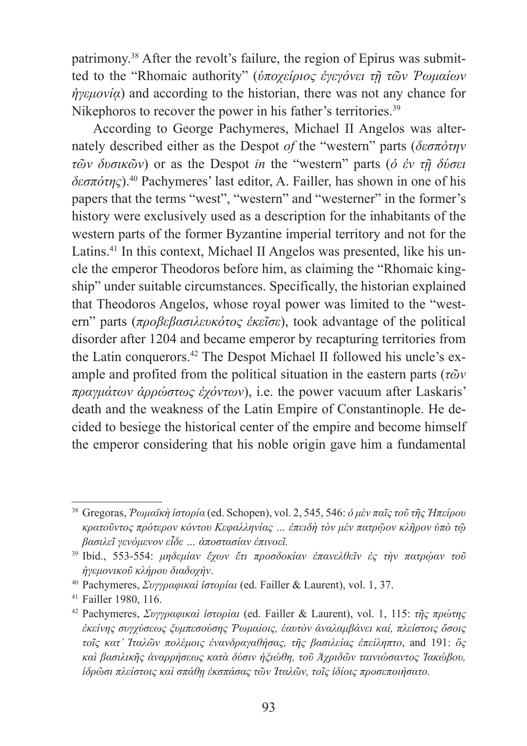patrimony.38 After the revolt's failure, the region of Epirus was submitted to the "Rhomaic authority" (*ὑποχείριος ἐγεγόνει τῇ τῶν Ῥωμαίων ήγεμονία*) and according to the historian, there was not any chance for Nikephoros to recover the power in his father's territories.<sup>39</sup>

According to George Pachymeres, Michael II Angelos was alternately described either as the Despot *of* the "western" parts (*δεσπότην τῶν δυσικῶν*) or as the Despot *in* the "western" parts (*ὁ ἐν τῇ δύσει δεσπότης*).40 Pachymeres' last editor, A. Failler, has shown in one of his papers that the terms "west", "western" and "westerner" in the former's history were exclusively used as a description for the inhabitants of the western parts of the former Byzantine imperial territory and not for the Latins.<sup>41</sup> In this context, Michael II Angelos was presented, like his uncle the emperor Theodoros before him, as claiming the "Rhomaic kingship" under suitable circumstances. Specifically, the historian explained that Theodoros Angelos, whose royal power was limited to the "western" parts (*προβεβασιλευκότος ἐκεῖσε*), took advantage of the political disorder after 1204 and became emperor by recapturing territories from the Latin conquerors.42 The Despot Michael II followed his uncle's example and profited from the political situation in the eastern parts (*τῶν πραγμάτων ἀρρώστως ἐχόντων*), i.e. the power vacuum after Laskaris' death and the weakness of the Latin Empire of Constantinople. He decided to besiege the historical center of the empire and become himself the emperor considering that his noble origin gave him a fundamental

<sup>38</sup> Gregoras, *Ῥωμαϊκὴ ἱστορία* (ed. Schopen), vol. 2, 545, 546: *ὁ μὲν παῖς τοῦ τῆς Ἠπείρου κρατοῦντος πρότερον κόντου Ȁεφαλληνίας … ἐπειδὴ τὸν μὲν πατρῷον κλῆρον ὑπὸ τῷ βασιλεῖ γενόμενον εἶδε … ἀποστασίαν ἐπινοεῖ.*

<sup>39</sup> Ibid., 553-554: *μηδεμίαν ἔχων ἔτι προσδοκίαν ἐπανελθεῖν ἐς τὴν πατρῴαν τοῦ ἡγεμονικοῦ κλήρου διαδοχήν*.

<sup>40</sup> Pachymeres, *Συγγραφικαὶ ἱστορίαι* (ed. Failler & Laurent), vol. 1, 37.

<sup>41</sup> Failler 1980, 116.

<sup>42</sup> Pachymeres, *Συγγραφικαὶ ἱστορίαι* (ed. Failler & Laurent), vol. 1, 115: *τῆς πρώτης ἐκείνης συγχύσεως ξυμπεσούσης Ῥωμαίοις, ἑαυτὸν ἀναλαμβάνει καί, πλείστοις ὅσοις τοῖς κατ' Ἰταλῶν πολέμοις ἐνανδραγαθήσας, τῆς βασιλείας ἐπείληπτο*, and 191: *ὃς καὶ βασιλικῆς ἀναρρήσεως κατὰ δύσιν ἠξιώθη, τοῦ Ἀχριδῶν ταινιώσαντος Ἰακώβου, ἱδρῶσι πλείστοις καὶ σπάθῃ ἐκσπάσας τῶν Ἰταλῶν, τοῖς ἰδίοις προσεποιήσατο.*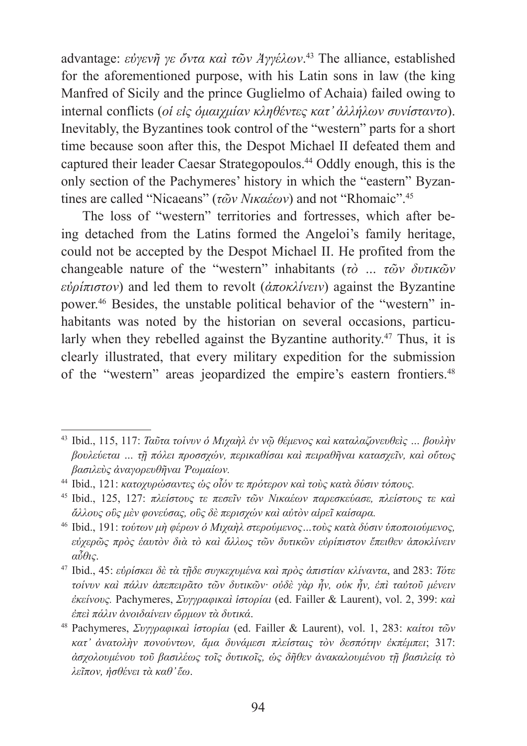advantage: *εὐγενῆ γε ὄντα καὶ τῶν Ἀγγέλων*. 43 The alliance, established for the aforementioned purpose, with his Latin sons in law (the king Manfred of Sicily and the prince Guglielmo of Achaia) failed owing to internal conflicts (*οἱ εἰς ὁμαιχμίαν κληθέντες κατ' ἀλλήλων συνίσταντο*). Inevitably, the Byzantines took control of the "western" parts for a short time because soon after this, the Despot Michael II defeated them and captured their leader Caesar Strategopoulos.44 Oddly enough, this is the only section of the Pachymeres' history in which the "eastern" Byzantines are called "Nicaeans" (*τῶν Νικαέων*) and not "Rhomaic".<sup>45</sup>

The loss of "western" territories and fortresses, which after being detached from the Latins formed the Angeloi's family heritage, could not be accepted by the Despot Michael II. He profited from the changeable nature of the "western" inhabitants (*τὸ … τῶν δυτικῶν εὐρίπιστον*) and led them to revolt (*ἀποκλίνειν*) against the Byzantine power.46 Besides, the unstable political behavior of the "western" inhabitants was noted by the historian on several occasions, particularly when they rebelled against the Byzantine authority.<sup>47</sup> Thus, it is clearly illustrated, that every military expedition for the submission of the "western" areas jeopardized the empire's eastern frontiers.<sup>48</sup>

<sup>43</sup> Ibid., 115, 117: *Ταῦτα τοίνυν ὁ Ȃιχαὴλ ἐν νῷ θέμενος καὶ καταλαζονευθεὶς … βουλὴν βουλεύεται … τῇ πόλει προσσχών, περικαθίσαι καὶ πειραθῆναι κατασχεῖν, καὶ οὕτως βασιλεὺς ἀναγορευθῆναι Ῥωμαίων.*

<sup>44</sup> Ibid., 121: *κατοχυρώσαντες ὡς οἷόν τε πρότερον καὶ τοὺς κατὰ δύσιν τόπους.*

<sup>45</sup> Ibid., 125, 127: *πλείστους τε πεσεῖν τῶν ȃικαέων παρεσκεύασε, πλείστους τε καὶ ἄλλους οὓς μὲν φονεύσας, οὓς δὲ περισχών καὶ αὐτὸν αἱρεῖ καίσαρα.*

<sup>46</sup> Ibid., 191: *τούτων μὴ φέρων ὁ Ȃιχαὴλ στερούμενος…τοὺς κατὰ δύσιν ὑποποιούμενος, εὐχερῶς πρὸς ἑαυτὸν διὰ τὸ καὶ ἄλλως τῶν δυτικῶν εὐρίπιστον ἔπειθεν ἀποκλίνειν αὖθις*.

<sup>47</sup> Ibid., 45: *εὑρίσκει δὲ τὰ τῇδε συγκεχυμένα καὶ πρὸς ἀπιστίαν κλίναντα*, and 283: *Τότε τοίνυν καὶ πάλιν ἀπεπειρᾶτο τῶν δυτικῶν· οὐδὲ γὰρ ἦν, οὐκ ἦν, ἐπὶ ταὐτοῦ μένειν ἐκείνους.* Pachymeres, *Συγγραφικαὶ ἱστορίαι* (ed. Failler & Laurent), vol. 2, 399: *καὶ ἐπεὶ πάλιν ἀνοιδαίνειν ὥρμων τὰ δυτικά*.

<sup>48</sup> Pachymeres, *Συγγραφικαὶ ἱστορίαι* (ed. Failler & Laurent), vol. 1, 283: *καίτοι τῶν κατ' ἀνατολὴν πονούντων, ἅμα δυνάμεσι πλείσταις τὸν δεσπότην ἐκπέμπει*; 317: *ἀσχολουμένου τοῦ βασιλέως τοῖς δυτικοῖς, ὡς δῆθεν ἀνακαλουμένου τῇ βασιλείᾳ τὸ λεῖπον, ἠσθένει τὰ καθ' ἕω*.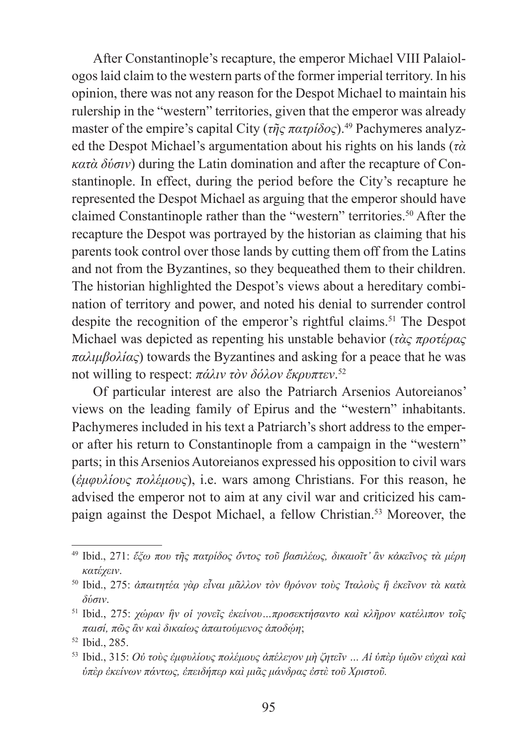After Constantinople's recapture, the emperor Michael VIII Palaiologos laid claim to the western parts of the former imperial territory. In his opinion, there was not any reason for the Despot Michael to maintain his rulership in the "western" territories, given that the emperor was already master of the empire's capital City (*τῆς πατρίδος*).49 Pachymeres analyzed the Despot Michael's argumentation about his rights on his lands (*τὰ κατὰ δύσιν*) during the Latin domination and after the recapture of Constantinople. In effect, during the period before the City's recapture he represented the Despot Michael as arguing that the emperor should have claimed Constantinople rather than the "western" territories.50 After the recapture the Despot was portrayed by the historian as claiming that his parents took control over those lands by cutting them off from the Latins and not from the Byzantines, so they bequeathed them to their children. The historian highlighted the Despot's views about a hereditary combination of territory and power, and noted his denial to surrender control despite the recognition of the emperor's rightful claims.<sup>51</sup> The Despot Michael was depicted as repenting his unstable behavior (*τὰς προτέρας παλιμβολίας*) towards the Byzantines and asking for a peace that he was not willing to respect: *πάλιν τὸν δόλον ἔκρυπτεν*. 52

Of particular interest are also the Patriarch Arsenios Autoreianos' views on the leading family of Epirus and the "western" inhabitants. Pachymeres included in his text a Patriarch's short address to the emperor after his return to Constantinople from a campaign in the "western" parts; in this Arsenios Autoreianos expressed his opposition to civil wars (*ἐμφυλίους πολέμους*), i.e. wars among Christians. For this reason, he advised the emperor not to aim at any civil war and criticized his campaign against the Despot Michael, a fellow Christian.53 Moreover, the

<sup>49</sup> Ibid., 271: *ἔξω που τῆς πατρίδος ὄντος τοῦ βασιλέως, δικαιοῖτ' ἂν κἀκεῖνος τὰ μέρη κατέχειν*.

<sup>50</sup> Ibid., 275: *ἀπαιτητέα γὰρ εἶναι μᾶλλον τὸν θρόνον τοὺς Ἰταλοὺς ἢ ἐκεῖνον τὰ κατὰ δύσιν*. 51 Ibid., 275: *χώραν ἣν οἱ γονεῖς ἐκείνου…προσεκτήσαντο καὶ κλῆρον κατέλιπον τοῖς*

*παισί, πῶς ἂν καὶ δικαίως ἀπαιτούμενος ἀποδῴη*;

<sup>52</sup> Ibid., 285.

<sup>53</sup> Ibid., 315: *Οὐ τοὺς ἐμφυλίους πολέμους ἀπέλεγον μὴ ζητεῖν … Αἱ ὑπὲρ ὑμῶν εὐχαὶ καὶ ὑπὲρ ἐκείνων πάντως, ἐπειδήπερ καὶ μιᾶς μάνδρας ἐστὲ τοῦ Χριστοῦ.*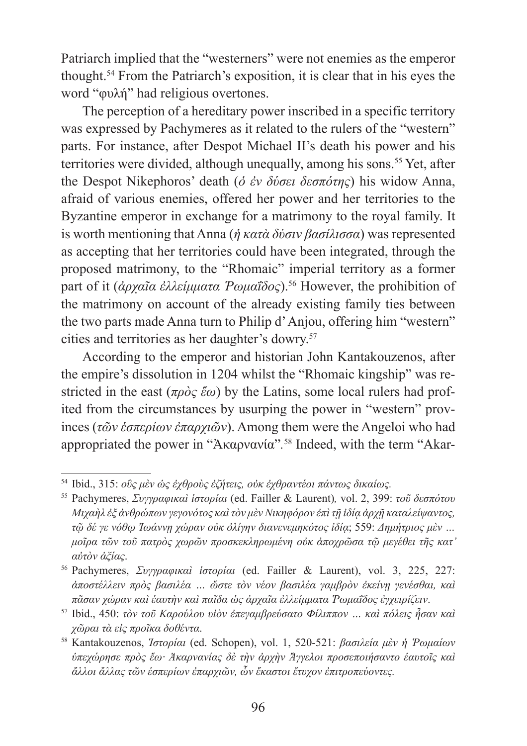Patriarch implied that the "westerners" were not enemies as the emperor thought.54 From the Patriarch's exposition, it is clear that in his eyes the word "φυλή" had religious overtones.

The perception of a hereditary power inscribed in a specific territory was expressed by Pachymeres as it related to the rulers of the "western" parts. For instance, after Despot Michael II's death his power and his territories were divided, although unequally, among his sons.<sup>55</sup> Yet, after the Despot Nikephoros' death (*ὁ ἐν δύσει δεσπότης*) his widow Anna, afraid of various enemies, offered her power and her territories to the Byzantine emperor in exchange for a matrimony to the royal family. It is worth mentioning that Anna (*ἡ κατὰ δύσιν βασίλισσα*) was represented as accepting that her territories could have been integrated, through the proposed matrimony, to the "Rhomaic" imperial territory as a former part of it (*ἀρχαῖα ἐλλείμματα Ῥωμαΐδος*).56 However, the prohibition of the matrimony on account of the already existing family ties between the two parts made Anna turn to Philip d' Anjou, offering him "western" cities and territories as her daughter's dowry.<sup>57</sup>

According to the emperor and historian John Kantakouzenos, after the empire's dissolution in 1204 whilst the "Rhomaic kingship" was restricted in the east (*πρὸς ἕω*) by the Latins, some local rulers had profited from the circumstances by usurping the power in "western" provinces (*τῶν ἑσπερίων ἐπαρχιῶν*). Among them were the Angeloi who had appropriated the power in "Ἀκαρνανία"*.* 58 Indeed, with the term "Akar-

<sup>54</sup> Ibid., 315: *οὓς μὲν ὡς ἐχθροὺς ἐζήτεις, οὐκ ἐχθραντέοι πάντως δικαίως.*

<sup>55</sup> Pachymeres, *Συγγραφικαὶ ἱστορίαι* (ed. Failler & Laurent)*,* vol. 2, 399: *τοῦ δεσπότου Ȃιχαὴλ ἐξ ἀνθρώπων γεγονότος καὶτὸν μὲν ȃικηφόρον ἐπὶτῇ ἰδίᾳ ἀρχῇ καταλείψαντος, τῷ δέ γε νόθῳ Ἰωάννῃ χώραν οὐκ ὀλίγην διανενεμηκότος ἰδίᾳ*; 559: *Δημήτριος μὲν … μοῖρα τῶν τοῦ πατρὸς χωρῶν προσκεκληρωμένη οὐκ ἀποχρῶσα τῷ μεγέθει τῆς κατ' αὐτὸν ἀξίας*.

<sup>56</sup> Pachymeres, *Συγγραφικαὶ ἱστορίαι* (ed. Failler & Laurent), vol. 3, 225, 227: *ἀποστέλλειν πρὸς βασιλέα … ὥστε τὸν νέον βασιλέα γαμβρὸν ἐκείνῃ γενέσθαι, καὶ πᾶσαν χώραν καὶ ἑαυτὴν καὶ παῖδα ὡς ἀρχαῖα ἐλλείμματα Ῥωμαΐδος ἐγχειρίζειν*.

<sup>57</sup> Ibid., 450: *τὸν τοῦ Ȁαρούλου υἱὸν ἐπεγαμβρεύσατο Φίλιππον … καὶ πόλεις ἦσαν καὶ χῶραι τὰ εἰς προῖκα δοθέντα*.

<sup>58</sup> Kantakouzenos, *Ἱστορίαι* (ed. Schopen), vol. 1, 520-521: *βασιλεία μὲν ἡ Ῥωμαίων ὑπεχώρησε πρὸς ἕω· Ἀκαρνανίας δὲ τὴν ἀρχὴν Ἄγγελοι προσεποιήσαντο ἑαυτοῖς καὶ ἄλλοι ἄλλας τῶν ἑσπερίων ἐπαρχιῶν, ὧν ἕκαστοι ἔτυχον ἐπιτροπεύοντες.*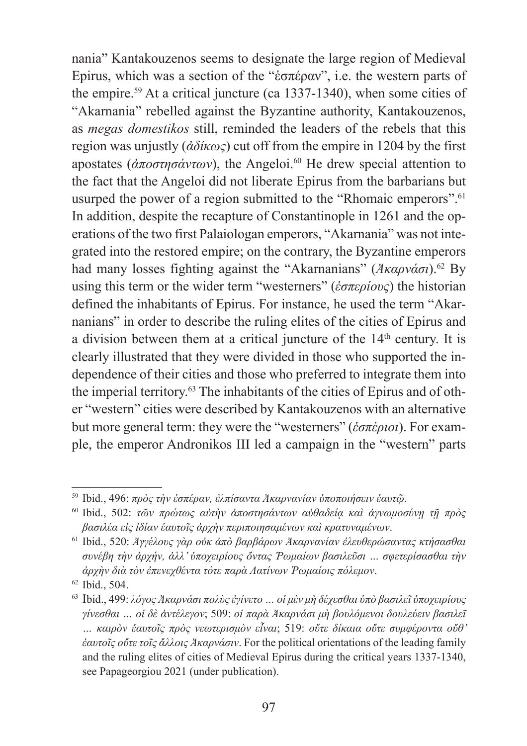nania" Kantakouzenos seems to designate the large region of Medieval Epirus, which was a section of the "ἑσπέραν", i.e. the western parts of the empire.59 At a critical juncture (ca 1337-1340), when some cities of "Akarnania" rebelled against the Byzantine authority, Kantakouzenos, as *megas domestikos* still, reminded the leaders of the rebels that this region was unjustly (*ἀδίκως*) cut off from the empire in 1204 by the first apostates (*άποστησάντων*), the Angeloi.<sup>60</sup> He drew special attention to the fact that the Angeloi did not liberate Epirus from the barbarians but usurped the power of a region submitted to the "Rhomaic emperors".<sup>61</sup> In addition, despite the recapture of Constantinople in 1261 and the operations of the two first Palaiologan emperors, "Akarnania" was not integrated into the restored empire; on the contrary, the Byzantine emperors had many losses fighting against the "Akarnanians" (*Ἀκαρνάσι*).<sup>62</sup> By using this term or the wider term "westerners" (*ἑσπερίους*) the historian defined the inhabitants of Epirus. For instance, he used the term "Akarnanians" in order to describe the ruling elites of the cities of Epirus and a division between them at a critical juncture of the 14<sup>th</sup> century. It is clearly illustrated that they were divided in those who supported the independence of their cities and those who preferred to integrate them into the imperial territory.63 The inhabitants of the cities of Epirus and of other "western" cities were described by Kantakouzenos with an alternative but more general term: they were the "westerners" (*ἑσπέριοι*). For example, the emperor Andronikos III led a campaign in the "western" parts

<sup>59</sup> Ibid., 496: *πρὸς τὴν ἑσπέραν, ἐλπίσαντα Ἀκαρνανίαν ὑποποιήσειν ἑαυτῷ*.

<sup>60</sup> Ibid., 502: *τῶν πρώτως αὐτὴν ἀποστησάντων αὐθαδείᾳ καὶ ἀγνωμοσύνῃ τῇ πρὸς βασιλέα εἰς ἰδίαν ἑαυτοῖς ἀρχὴν περιποιησαμένων καὶ κρατυναμένων*.

<sup>61</sup> Ibid., 520: *Ἀγγέλους γὰρ οὐκ ἀπὸ βαρβάρων Ἀκαρνανίαν ἐλευθερώσαντας κτήσασθαι συνέβη τὴν ἀρχήν, ἀλλ' ὑποχειρίους ὄντας Ῥωμαίων βασιλεῦσι … σφετερίσασθαι τὴν ἀρχὴν διὰ τὸν ἐπενεχθέντα τότε παρὰ ȁατίνων Ῥωμαίοις πόλεμον*.

<sup>62</sup> Ibid., 504.

<sup>63</sup> Ibid., 499: *λόγος Ἀκαρνάσι πολὺς ἐγίνετο … οἱ μὲν μὴ δέχεσθαι ὑπὸ βασιλεῖ ὑποχειρίους γίνεσθαι … οἱ δὲ ἀντέλεγον*; 509: *οἱ παρὰ Ἀκαρνάσι μὴ βουλόμενοι δουλεύειν βασιλεῖ … καιρὸν ἑαυτοῖς πρὸς νεωτερισμὸν εἶναι*; 519: *οὔτε δίκαια οὔτε συμφέροντα οὔθ' ἑαυτοῖς οὔτε τοῖς ἄλλοις Ἀκαρνάσιν*. For the political orientations of the leading family and the ruling elites of cities of Medieval Epirus during the critical years 1337-1340, see Papageorgiou 2021 (under publication).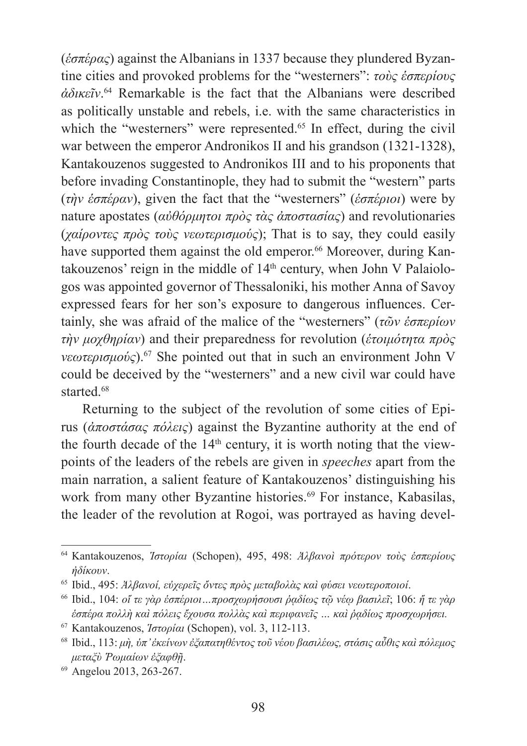(*ἑσπέρας*) against the Albanians in 1337 because they plundered Byzantine cities and provoked problems for the "westerners": *τοὺς ἑσπερίους ἀδικεῖν*. 64 Remarkable is the fact that the Albanians were described as politically unstable and rebels, i.e. with the same characteristics in which the "westerners" were represented.<sup>65</sup> In effect, during the civil war between the emperor Andronikos II and his grandson (1321-1328), Kantakouzenos suggested to Andronikos III and to his proponents that before invading Constantinople, they had to submit the "western" parts (*τὴν ἑσπέραν*), given the fact that the "westerners" (*ἑσπέριοι*) were by nature apostates (*αὐθόρμητοι πρὸς τὰς ἀποστασίας*) and revolutionaries (*χαίροντες πρὸς τοὺς νεωτερισμούς*); That is to say, they could easily have supported them against the old emperor.<sup>66</sup> Moreover, during Kantakouzenos' reign in the middle of 14<sup>th</sup> century, when John V Palaiologos was appointed governor of Thessaloniki, his mother Anna of Savoy expressed fears for her son's exposure to dangerous influences. Certainly, she was afraid of the malice of the "westerners" (*τῶν ἑσπερίων τὴν μοχθηρίαν*) and their preparedness for revolution (*ἑτοιμότητα πρὸς νεωτερισμούς*).67 She pointed out that in such an environment John V could be deceived by the "westerners" and a new civil war could have started.<sup>68</sup>

Returning to the subject of the revolution of some cities of Epirus (*ἀποστάσας πόλεις*) against the Byzantine authority at the end of the fourth decade of the  $14<sup>th</sup>$  century, it is worth noting that the viewpoints of the leaders of the rebels are given in *speeches* apart from the main narration, a salient feature of Kantakouzenos' distinguishing his work from many other Byzantine histories.<sup>69</sup> For instance, Kabasilas, the leader of the revolution at Rogoi, was portrayed as having devel-

<sup>64</sup> Kantakouzenos, *Ἱστορίαι* (Schopen), 495, 498: *Ἀλβανοὶ πρότερον τοὺς ἑσπερίους ἠδίκουν*.

<sup>65</sup> Ibid., 495: *Ἀλβανοί, εὐχερεῖς ὄντες πρὸς μεταβολὰς καὶ φύσει νεωτεροποιοί*.

<sup>66</sup> Ibid., 104: *οἵ τε γὰρ ἑσπέριοι…προσχωρήσουσι ῥᾳδίως τῷ νέῳ βασιλεῖ*; 106: *ἥ τε γὰρ ἑσπέρα πολλὴ καὶ πόλεις ἔχουσα πολλὰς καὶ περιφανεῖς … καὶ ῥᾳδίως προσχωρήσει.*

<sup>67</sup> Kantakouzenos, *Ἱστορίαι* (Schopen), vol. 3, 112-113.

<sup>68</sup> Ibid., 113: *μὴ, ὑπ' ἐκείνων ἐξαπατηθέντος τοῦ νέου βασιλέως, στάσις αὖθις καὶ πόλεμος μεταξὺ Ῥωμαίων ἐξαφθῇ*.

<sup>69</sup> Angelou 2013, 263-267.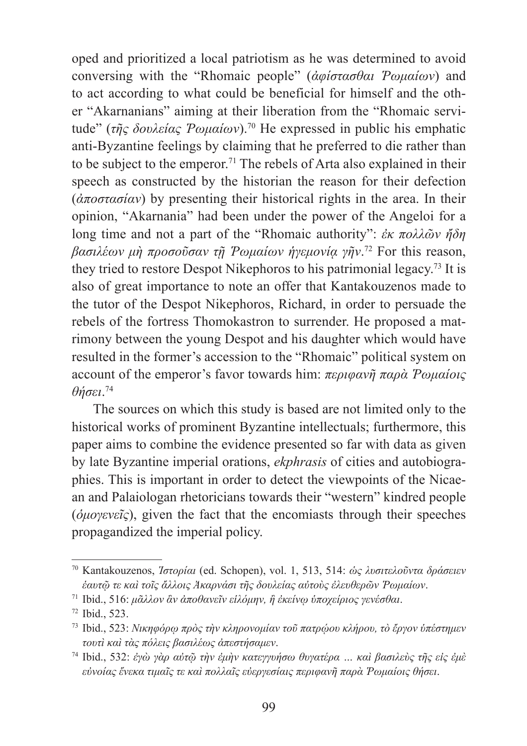oped and prioritized a local patriotism as he was determined to avoid conversing with the "Rhomaic people" (*ἀφίστασθαι Ῥωμαίων*) and to act according to what could be beneficial for himself and the other "Akarnanians" aiming at their liberation from the "Rhomaic servitude" (*τῆς δουλείας Ῥωμαίων*).70 He expressed in public his emphatic anti-Byzantine feelings by claiming that he preferred to die rather than to be subject to the emperor.<sup>71</sup> The rebels of Arta also explained in their speech as constructed by the historian the reason for their defection (*ἀποστασίαν*) by presenting their historical rights in the area. In their opinion, "Akarnania" had been under the power of the Angeloi for a long time and not a part of the "Rhomaic authority": *ἐκ πολλῶν ἤδη βασιλέων μὴ προσοῦσαν τῇ Ῥωμαίων ἡγεμονίᾳ γῆν*. 72 For this reason, they tried to restore Despot Nikephoros to his patrimonial legacy.73 It is also of great importance to note an offer that Kantakouzenos made to the tutor of the Despot Nikephoros, Richard, in order to persuade the rebels of the fortress Thomokastron to surrender. He proposed a matrimony between the young Despot and his daughter which would have resulted in the former's accession to the "Rhomaic" political system on account of the emperor's favor towards him: *περιφανῆ παρὰ Ῥωμαίοις θήσει*. 74

The sources on which this study is based are not limited only to the historical works of prominent Byzantine intellectuals; furthermore, this paper aims to combine the evidence presented so far with data as given by late Byzantine imperial orations, *ekphrasis* of cities and autobiographies. This is important in order to detect the viewpoints of the Nicaean and Palaiologan rhetoricians towards their "western" kindred people (*ὁμογενεῖς*), given the fact that the encomiasts through their speeches propagandized the imperial policy.

<sup>70</sup> Kantakouzenos, *Ἱστορίαι* (ed. Schopen), vol. 1, 513, 514: *ὡς λυσιτελοῦντα δράσειεν ἑαυτῷ τε καὶ τοῖς ἄλλοις Ἀκαρνάσι τῆς δουλείας αὐτοὺς ἐλευθερῶν Ῥωμαίων*.

<sup>71</sup> Ibid., 516: *μᾶλλον ἂν ἀποθανεῖν εἱλόμην, ἢ ἐκείνῳ ὑποχείριος γενέσθαι*.

<sup>72</sup> Ibid., 523.

<sup>73</sup> Ibid., 523: *ȃικηφόρῳ πρὸς τὴν κληρονομίαν τοῦ πατρῴου κλήρου, τὸ ἔργον ὑπέστημεν τουτὶ καὶ τὰς πόλεις βασιλέως ἀπεστήσαμεν*.

<sup>74</sup> Ibid., 532: *ἐγὼ γὰρ αὐτῷ τὴν ἐμὴν κατεγγυήσω θυγατέρα … καὶ βασιλεὺς τῆς εἰς ἐμὲ εὐνοίας ἕνεκα τιμαῖς τε καὶ πολλαῖς εὐεργεσίαις περιφανῆ παρὰ Ῥωμαίοις θήσει*.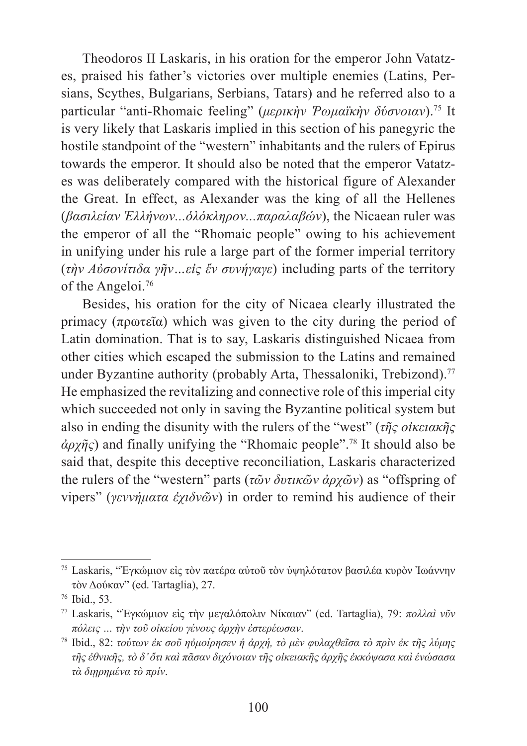Theodoros II Laskaris, in his oration for the emperor John Vatatzes, praised his father's victories over multiple enemies (Latins, Persians, Scythes, Bulgarians, Serbians, Tatars) and he referred also to a particular "anti-Rhomaic feeling" (*μερικὴν Ῥωμαϊκὴν δύσνοιαν*).75 It is very likely that Laskaris implied in this section of his panegyric the hostile standpoint of the "western" inhabitants and the rulers of Epirus towards the emperor. It should also be noted that the emperor Vatatzes was deliberately compared with the historical figure of Alexander the Great. In effect, as Alexander was the king of all the Hellenes (*βασιλείαν Ἑλλήνων...ὁλόκληρον...παραλαβών*), the Nicaean ruler was the emperor of all the "Rhomaic people" owing to his achievement in unifying under his rule a large part of the former imperial territory (*τὴν Αὐσονίτιδα γῆν…εἰς ἕν συνήγαγε*) including parts of the territory of the Angeloi.76

Besides, his oration for the city of Nicaea clearly illustrated the primacy (πρωτεῖα) which was given to the city during the period of Latin domination. That is to say, Laskaris distinguished Nicaea from other cities which escaped the submission to the Latins and remained under Byzantine authority (probably Arta, Thessaloniki, Trebizond).<sup>77</sup> He emphasized the revitalizing and connective role of this imperial city which succeeded not only in saving the Byzantine political system but also in ending the disunity with the rulers of the "west" (*τῆς οἰκειακῆς ἀρχῆς*) and finally unifying the "Rhomaic people".78 It should also be said that, despite this deceptive reconciliation, Laskaris characterized the rulers of the "western" parts (*τῶν δυτικῶν ἀρχῶν*) as "offspring of vipers" (*γεννήματα ἐχιδνῶν*) in order to remind his audience of their

<sup>75</sup> Laskaris, "Ἐγκώμιον εἰς τὸν πατέρα αὐτοῦ τὸν ὑψηλότατον βασιλέα κυρὸν Ἰωάννην τὸν Δούκαν" (ed. Tartaglia), 27.

<sup>76</sup> Ibid., 53.

<sup>77</sup> Laskaris, "Ἐγκώμιον εἰς τὴν μεγαλόπολιν ȃίκαιαν" (ed. Tartaglia), 79: *πολλαὶ νῦν πόλεις … τὴν τοῦ οἰκείου γένους ἀρχὴν ἐστερέωσαν*.

<sup>78</sup> Ibid., 82: *τούτων ἐκ σοῦ ηὐμοίρησεν ἡ ἀρχή, τὸ μὲν φυλαχθεῖσα τὸ πρὶν ἐκ τῆς λύμης τῆς ἐθνικῆς, τὸ δ' ὅτι καὶ πᾶσαν διχόνοιαν τῆς οἰκειακῆς ἀρχῆς ἐκκόψασα καὶ ἑνώσασα τὰ διῃρημένα τὸ πρίν*.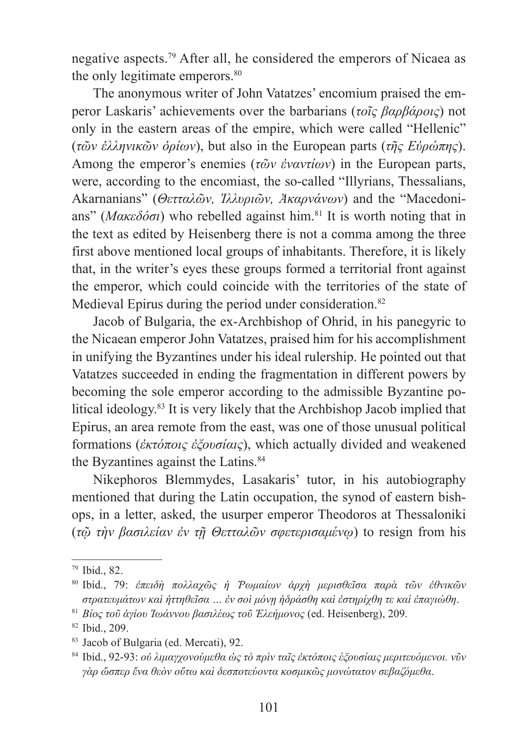negative aspects.79 After all, he considered the emperors of Nicaea as the only legitimate emperors.<sup>80</sup>

The anonymous writer of John Vatatzes' encomium praised the emperor Laskaris' achievements over the barbarians (*τοῖς βαρβάροις*) not only in the eastern areas of the empire, which were called "Hellenic" (*τῶν ἑλληνικῶν ὁρίων*), but also in the European parts (*τῆς Εὐρώπης*). Among the emperor's enemies (*τῶν ἐναντίων*) in the European parts, were, according to the encomiast, the so-called "Illyrians, Thessalians, Akarnanians" (*Θετταλῶν, Ἰλλυριῶν, Ἀκαρνάνων*) and the "Macedonians" (*Ȃακεδόσι*) who rebelled against him.81 It is worth noting that in the text as edited by Heisenberg there is not a comma among the three first above mentioned local groups of inhabitants. Therefore, it is likely that, in the writer's eyes these groups formed a territorial front against the emperor, which could coincide with the territories of the state of Medieval Epirus during the period under consideration.<sup>82</sup>

Jacob of Bulgaria, the ex-Archbishop of Ohrid, in his panegyric to the Nicaean emperor John Vatatzes, praised him for his accomplishment in unifying the Byzantines under his ideal rulership. He pointed out that Vatatzes succeeded in ending the fragmentation in different powers by becoming the sole emperor according to the admissible Byzantine political ideology.83 It is very likely that the Archbishop Jacob implied that Epirus, an area remote from the east, was one of those unusual political formations (*ἐκτόποις ἐξουσίαις*), which actually divided and weakened the Byzantines against the Latins.<sup>84</sup>

Nikephoros Blemmydes, Lasakaris' tutor, in his autobiography mentioned that during the Latin occupation, the synod of eastern bishops, in a letter, asked, the usurper emperor Theodoros at Thessaloniki (*τῷ τὴν βασιλείαν ἐν τῇ Θετταλῶν σφετερισαμένῳ*) to resign from his

<sup>79</sup> Ibid., 82.

<sup>80</sup> Ibid., 79: *ἐπειδὴ πολλαχῶς ἡ Ῥωμαίων ἀρχὴ μερισθεῖσα παρὰ τῶν ἐθνικῶν στρατευμάτων καὶ ἡττηθεῖσα … ἐν σοὶ μόνῃ ἡδράσθη καὶ ἐστηρίχθη τε καὶ ἐπαγιώθη*.

<sup>81</sup> *Βίος τοῦ ἁγίου Ἰωάννου βασιλέως τοῦ Ἐλεήμονος* (ed. Heisenberg), 209.

<sup>82</sup> Ibid., 209.

<sup>83</sup> Jacob of Bulgaria (ed. Mercati), 92.

<sup>84</sup> Ibid., 92-93: *οὐ λιμαγχονούμεθα ὡς τὸ πρὶν ταῖς ἐκτόποις έξουσίαις μεριτευόμενοι. νῦν γὰρ ὥσπερ ἕνα θεὸν οὕτω καὶ δεσποτεύοντα κοσμικῶς μονώτατον σεβαζόμεθα*.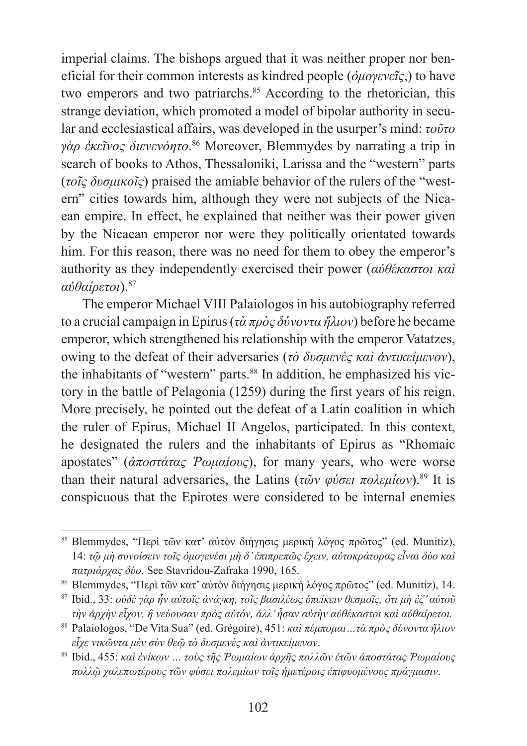imperial claims. The bishops argued that it was neither proper nor beneficial for their common interests as kindred people (*ὁμογενεῖς*,) to have two emperors and two patriarchs.<sup>85</sup> According to the rhetorician, this strange deviation, which promoted a model of bipolar authority in secular and ecclesiastical affairs, was developed in the usurper's mind: *τοῦτο γὰρ ἐκεῖνος διενενόητο*. 86 Moreover, Blemmydes by narrating a trip in search of books to Athos, Thessaloniki, Larissa and the "western" parts (*τοῖς δυσμικοῖς*) praised the amiable behavior of the rulers of the "western" cities towards him, although they were not subjects of the Nicaean empire. In effect, he explained that neither was their power given by the Nicaean emperor nor were they politically orientated towards him. For this reason, there was no need for them to obey the emperor's authority as they independently exercised their power (*αὐθέκαστοι καὶ αὐθαίρετοι*).<sup>87</sup>

The emperor Michael VIII Palaiologos in his autobiography referred to a crucial campaign in Epirus (*τὰ πρὸς δύνοντα ἥλιον*) before he became emperor, which strengthened his relationship with the emperor Vatatzes, owing to the defeat of their adversaries (*τὸ δυσμενὲς καὶ ἀντικείμενον*), the inhabitants of "western" parts.<sup>88</sup> In addition, he emphasized his victory in the battle of Pelagonia (1259) during the first years of his reign. More precisely, he pointed out the defeat of a Latin coalition in which the ruler of Epirus, Michael II Angelos, participated. In this context, he designated the rulers and the inhabitants of Epirus as "Rhomaic apostates" (*ἀποστάτας Ῥωμαίους*), for many years, who were worse than their natural adversaries, the Latins (*τῶν φύσει πολεμίων*).89 It is conspicuous that the Epirotes were considered to be internal enemies

<sup>85</sup> Blemmydes, "Περὶ τῶν κατ' αὐτὸν διήγησις μερική λόγος πρῶτος" (ed. Munitiz), 14: *τῷ μὴ συνοίσειν τοῖς ὁμογενέσι μὴ δ' ἐπιπρεπῶς ἔχειν, αὐτοκράτορας εἶναι δύο καὶ πατριάρχας δύο*. See Stavridou-Zafraka 1990, 165.

<sup>86</sup> Blemmydes, "Περὶ τῶν κατ' αὐτὸν διήγησις μερική λόγος πρῶτος" (ed. Munitiz), 14.

<sup>87</sup> Ibid., 33: *οὐδὲ γὰρ ἦν αὐτοῖς ἀνάγκη, τοῖς βασιλέως ὑπείκειν θεσμοῖς, ὅτι μὴ ἐξ' αὐτοῦ τὴν ἀρχὴν εἶχον, ἢ νεύουσαν πρὸς αὐτόν, ἀλλ' ἦσαν αὐτὴν αὐθέκαστοι καὶ αὐθαίρετοι.*

<sup>88</sup> Palaiologos, "De Vita Sua" (ed. Grégoire), 451: *καὶ πέμπομαι…τὰ πρὸς δύνοντα ἥλιον εἶχε νικῶντα μὲν σὺν θεῷ τὸ δυσμενὲς καὶ ἀντικείμενον*.

<sup>89</sup> Ibid., 455: *καὶ ἐνίκων … τοὺς τῆς Ῥωμαίων ἀρχῆς πολλῶν ἐτῶν ἀποστάτας Ῥωμαίους πολλῷ χαλεπωτέρους τῶν φύσει πολεμίων τοῖς ἡμετέροις ἐπιφυομένους πράγμασιν*.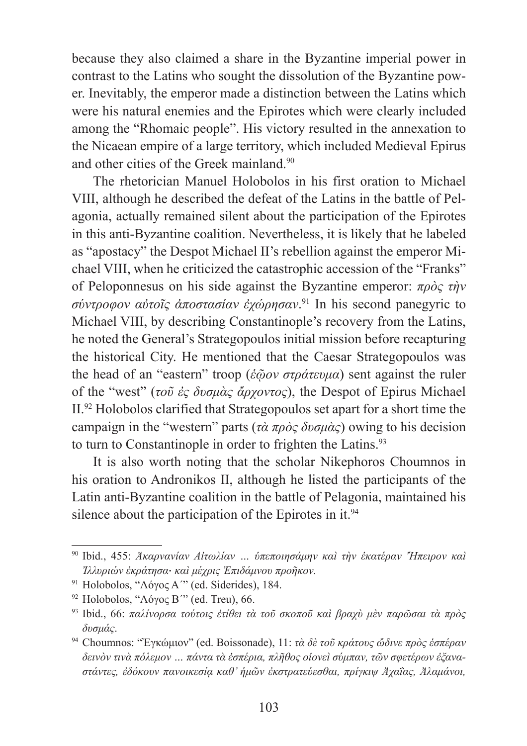because they also claimed a share in the Byzantine imperial power in contrast to the Latins who sought the dissolution of the Byzantine power. Inevitably, the emperor made a distinction between the Latins which were his natural enemies and the Epirotes which were clearly included among the "Rhomaic people". His victory resulted in the annexation to the Nicaean empire of a large territory, which included Medieval Epirus and other cities of the Greek mainland.90

The rhetorician Manuel Holobolos in his first oration to Michael VIII, although he described the defeat of the Latins in the battle of Pelagonia, actually remained silent about the participation of the Epirotes in this anti-Byzantine coalition. Nevertheless, it is likely that he labeled as "apostacy" the Despot Michael II's rebellion against the emperor Michael VIII, when he criticized the catastrophic accession of the "Franks" of Peloponnesus on his side against the Byzantine emperor: *πρὸς τὴν σύντροφον αὐτοῖς ἀποστασίαν ἐχώρησαν*. 91 In his second panegyric to Michael VIII, by describing Constantinople's recovery from the Latins, he noted the General's Strategopoulos initial mission before recapturing the historical City. He mentioned that the Caesar Strategopoulos was the head of an "eastern" troop (*ἑῷον στράτευμα*) sent against the ruler of the "west" (*τοῦ ἐς δυσμὰς ἄρχοντος*), the Despot of Epirus Michael II.92 Holobolos clarified that Strategopoulos set apart for a short time the campaign in the "western" parts (*τὰ πρὸς δυσμὰς*) owing to his decision to turn to Constantinople in order to frighten the Latins.<sup>93</sup>

It is also worth noting that the scholar Nikephoros Choumnos in his oration to Andronikos II, although he listed the participants of the Latin anti-Byzantine coalition in the battle of Pelagonia, maintained his silence about the participation of the Epirotes in it.<sup>94</sup>

- <sup>91</sup> Holobolos, "Λόγος Α΄" (ed. Siderides), 184.
- <sup>92</sup> Holobolos, "Λόγος Β'" (ed. Treu), 66.

<sup>90</sup> Ibid., 455: *Ἀκαρνανίαν Αἰτωλίαν … ὑπεποιησάμην καὶ τὴν ἑκατέραν Ἤπειρον καὶ Ἰλλυριών ἐκράτησα*. *καὶ μέχρις Ἐπιδάμνου προῆκον.*

<sup>93</sup> Ibid., 66: *παλίνορσα τούτοις ἐτίθει τὰ τοῦ σκοποῦ καὶ βραχὺ μὲν παρῶσαι τὰ πρὸς δυσμάς*.

<sup>94</sup> Choumnos: "Ἐγκώμιον" (ed. Boissonade), 11: *τὰ δὲ τοῦ κράτους ὤδινε πρὸς ἑσπέραν δεινὸν τινὰ πόλεμον … πάντα τὰ ἑσπέρια, πλῆθος οἱονεὶ σύμπαν, τῶν σφετέρων ἐξαναστάντες, ἐδόκουν πανοικεσίᾳ καθ' ἡμῶν ἐκστρατεύεσθαι, πρίγκιψ Ἀχαΐας, Ἀλαμάνοι,*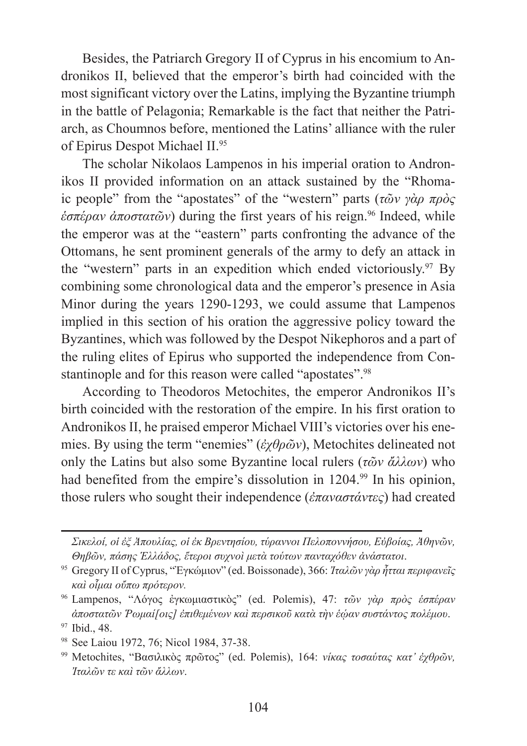Besides, the Patriarch Gregory II of Cyprus in his encomium to Andronikos II, believed that the emperor's birth had coincided with the most significant victory over the Latins, implying the Byzantine triumph in the battle of Pelagonia; Remarkable is the fact that neither the Patriarch, as Choumnos before, mentioned the Latins' alliance with the ruler of Epirus Despot Michael II.<sup>95</sup>

The scholar Nikolaos Lampenos in his imperial oration to Andronikos II provided information on an attack sustained by the "Rhomaic people" from the "apostates" of the "western" parts (*τῶν γὰρ πρὸς ἑσπέραν ἀποστατῶν*) during the first years of his reign.96 Indeed, while the emperor was at the "eastern" parts confronting the advance of the Ottomans, he sent prominent generals of the army to defy an attack in the "western" parts in an expedition which ended victoriously.97 By combining some chronological data and the emperor's presence in Asia Minor during the years 1290-1293, we could assume that Lampenos implied in this section of his oration the aggressive policy toward the Byzantines, which was followed by the Despot Nikephoros and a part of the ruling elites of Epirus who supported the independence from Constantinople and for this reason were called "apostates".<sup>98</sup>

According to Theodoros Metochites, the emperor Andronikos II's birth coincided with the restoration of the empire. In his first oration to Andronikos II, he praised emperor Michael VIII's victories over his enemies. By using the term "enemies" (*ἐχθρῶν*), Metochites delineated not only the Latins but also some Byzantine local rulers (*τῶν ἄλλων*) who had benefited from the empire's dissolution in 1204.<sup>99</sup> In his opinion, those rulers who sought their independence (*ἐπαναστάντες*) had created

*Σικελοί, οἱ ἐξ Ἀπουλίας, οἱ ἐκ Βρεντησίου, τύραννοι Πελοποννήσου, Εὐβοίας, Ἀθηνῶν, Θηβῶν, πάσης Ἑλλάδος, ἕτεροι συχνοὶ μετὰ τούτων πανταχόθεν ἀνάστατοι*.

<sup>95</sup> Gregory II of Cyprus, "Ἐγκώμιον" (ed. Boissonade), 366: *Ἰταλῶν γὰρ ἧτται περιφανεῖς καὶ οἷμαι οὔπω πρότερον.*

<sup>96</sup> Lampenos, "ȁόγος ἐγκωμιαστικὸς" (ed. Polemis), 47: *τῶν γὰρ πρὸς ἑσπέραν ἀποστατῶν Ῥωμαί[οις] ἐπιθεμένων καὶ περσικοῦ κατὰ τὴν ἑῴαν συστάντος πολέμου*.

<sup>97</sup> Ibid., 48.

<sup>98</sup> See Laiou 1972, 76; Nicol 1984, 37-38.

<sup>99</sup> Metochites, "Βασιλικὸς πρῶτος" (ed. Polemis), 164: *νίκας τοσαύτας κατ' ἐχθρῶν, Ἰταλῶν τε καὶ τῶν ἄλλων*.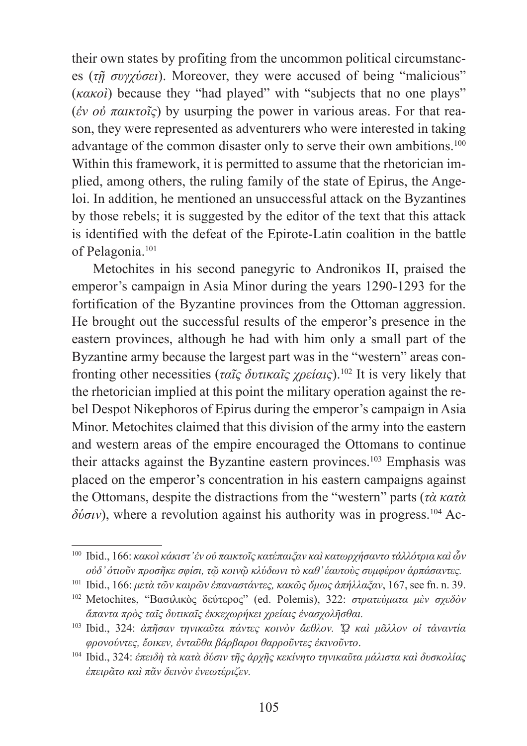their own states by profiting from the uncommon political circumstances (*τῇ συγχύσει*). Moreover, they were accused of being "malicious" (*κακοὶ*) because they "had played" with "subjects that no one plays" (*ἐν οὐ παικτοῖς*) by usurping the power in various areas. For that reason, they were represented as adventurers who were interested in taking advantage of the common disaster only to serve their own ambitions.<sup>100</sup> Within this framework, it is permitted to assume that the rhetorician implied, among others, the ruling family of the state of Epirus, the Angeloi. In addition, he mentioned an unsuccessful attack on the Byzantines by those rebels; it is suggested by the editor of the text that this attack is identified with the defeat of the Epirote-Latin coalition in the battle of Pelagonia.101

Metochites in his second panegyric to Andronikos II, praised the emperor's campaign in Asia Minor during the years 1290-1293 for the fortification of the Byzantine provinces from the Ottoman aggression. He brought out the successful results of the emperor's presence in the eastern provinces, although he had with him only a small part of the Byzantine army because the largest part was in the "western" areas confronting other necessities (*ταῖς δυτικαῖς χρείαις*).102 It is very likely that the rhetorician implied at this point the military operation against the rebel Despot Nikephoros of Epirus during the emperor's campaign in Asia Minor. Metochites claimed that this division of the army into the eastern and western areas of the empire encouraged the Ottomans to continue their attacks against the Byzantine eastern provinces.103 Emphasis was placed on the emperor's concentration in his eastern campaigns against the Ottomans, despite the distractions from the "western" parts (*τὰ κατὰ*  $δ*io*σ*iv*$ ), where a revolution against his authority was in progress.<sup>104</sup> Ac-

<sup>100</sup> Ibid., 166: *κακοὶ κάκιστ' ἐν οὐ παικτοῖς κατέπαιξαν καὶ κατωρχήσαντο τἀλλότρια καὶ ὧν οὐδ' ὁτιοῦν προσῆκε σφίσι, τῷ κοινῷ κλύδωνι τὸ καθ' ἑαυτοὺς συμφέρον ἁρπάσαντες.*

<sup>101</sup> Ibid., 166: *μετὰ τῶν καιρῶν ἐπαναστάντες, κακῶς ὅμως ἀπήλλαξαν*, 167, see fn. n. 39.

<sup>102</sup> Metochites, "Βασιλικὸς δεύτερος" (ed. Polemis), 322: *στρατεύματα μὲν σχεδὸν ἅπαντα πρὸς ταῖς δυτικαῖς ἐκκεχωρήκει χρείαις ἐνασχολῆσθαι.*

<sup>103</sup> Ibid., 324: *ἀπῆσαν τηνικαῦτα πάντες κοινὸν ἄεθλον. ᾭ καὶ μᾶλλον οἱ τἀναντία φρονούντες, ἔοικεν, ἐνταῦθα βάρβαροι θαρροῦντες ἐκινοῦντο*.

<sup>104</sup> Ibid., 324: *ἐπειδὴ τὰ κατὰ δύσιν τῆς ἀρχῆς κεκίνητο τηνικαῦτα μάλιστα καὶ δυσκολίας ἐπειρᾶτο καὶ πᾶν δεινὸν ἐνεωτέριζεν.*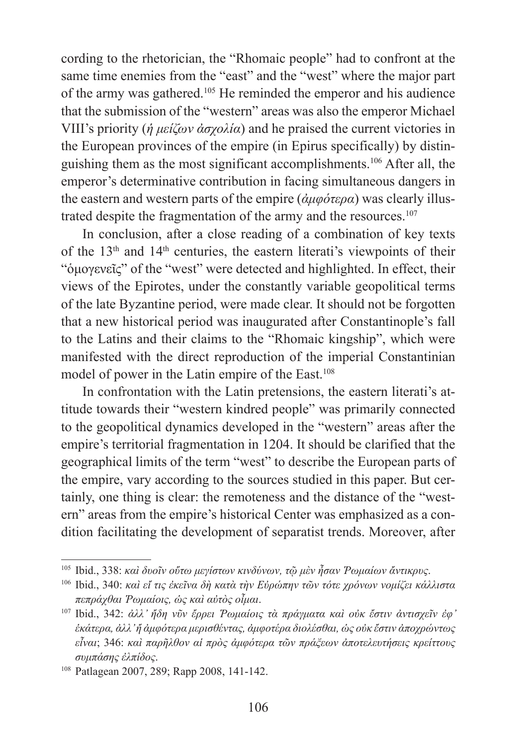cording to the rhetorician, the "Rhomaic people" had to confront at the same time enemies from the "east" and the "west" where the major part of the army was gathered.105 He reminded the emperor and his audience that the submission of the "western" areas was also the emperor Michael VIII's priority (*ἡ μείζων ἀσχολία*) and he praised the current victories in the European provinces of the empire (in Epirus specifically) by distinguishing them as the most significant accomplishments.106 After all, the emperor's determinative contribution in facing simultaneous dangers in the eastern and western parts of the empire (*ἀμφότερα*) was clearly illustrated despite the fragmentation of the army and the resources.<sup>107</sup>

In conclusion, after a close reading of a combination of key texts of the  $13<sup>th</sup>$  and  $14<sup>th</sup>$  centuries, the eastern literati's viewpoints of their "ὁμογενεῖς" of the "west" were detected and highlighted. In effect, their views of the Epirotes, under the constantly variable geopolitical terms of the late Byzantine period, were made clear. It should not be forgotten that a new historical period was inaugurated after Constantinople's fall to the Latins and their claims to the "Rhomaic kingship", which were manifested with the direct reproduction of the imperial Constantinian model of power in the Latin empire of the East.<sup>108</sup>

In confrontation with the Latin pretensions, the eastern literati's attitude towards their "western kindred people" was primarily connected to the geopolitical dynamics developed in the "western" areas after the empire's territorial fragmentation in 1204. It should be clarified that the geographical limits of the term "west" to describe the European parts of the empire, vary according to the sources studied in this paper. But certainly, one thing is clear: the remoteness and the distance of the "western" areas from the empire's historical Center was emphasized as a condition facilitating the development of separatist trends. Moreover, after

<sup>105</sup> Ibid., 338: *καὶ δυοῖν οὕτω μεγίστων κινδύνων, τῷ μὲν ἦσαν Ῥωμαίων ἄντικρυς*.

<sup>106</sup> Ibid., 340: *καὶ εἴ τις ἐκεῖνα δὴ κατὰ τὴν Εὐρώπην τῶν τότε χρόνων νομίζει κάλλιστα πεπράχθαι Ῥωμαίοις, ὡς καὶ αὐτὸς οἶμαι*.

<sup>107</sup> Ibid., 342: *ἀλλ' ἤδη νῦν ἔρρει Ῥωμαίοις τὰ πράγματα καὶ οὐκ ἔστιν ἀντισχεῖν ἐφ' ἑκάτερα, ἀλλ' ἤ ἀμφότερα μερισθέντας, ἀμφοτέρα διολέσθαι, ὡς οὐκ ἔστιν ἀποχρώντως εἶναι*; 346: *καὶ παρῆλθον αἱ πρὸς ἀμφότερα τῶν πράξεων ἀποτελευτήσεις κρείττους συμπάσης ἐλπίδος*.

<sup>108</sup> Patlagean 2007, 289; Rapp 2008, 141-142.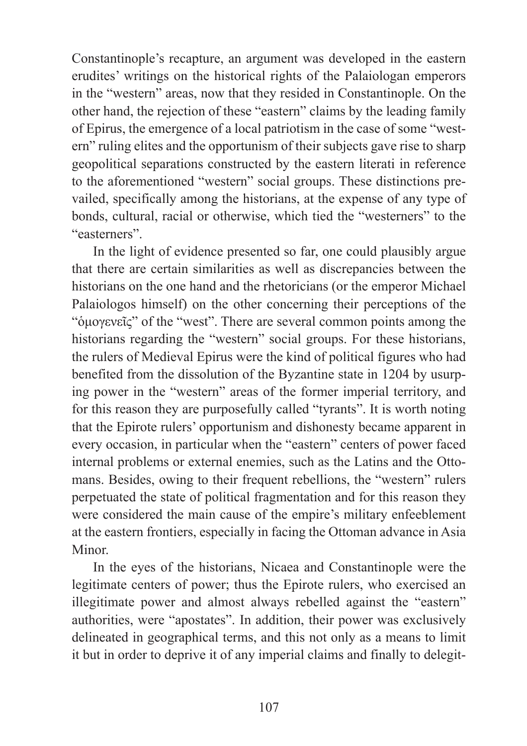Constantinople's recapture, an argument was developed in the eastern erudites' writings on the historical rights of the Palaiologan emperors in the "western" areas, now that they resided in Constantinople. On the other hand, the rejection of these "eastern" claims by the leading family of Epirus, the emergence of a local patriotism in the case of some "western" ruling elites and the opportunism of their subjects gave rise to sharp geopolitical separations constructed by the eastern literati in reference to the aforementioned "western" social groups. These distinctions prevailed, specifically among the historians, at the expense of any type of bonds, cultural, racial or otherwise, which tied the "westerners" to the "easterners".

In the light of evidence presented so far, one could plausibly argue that there are certain similarities as well as discrepancies between the historians on the one hand and the rhetoricians (or the emperor Michael Palaiologos himself) on the other concerning their perceptions of the "ὁμογενεῖς" of the "west". There are several common points among the historians regarding the "western" social groups. For these historians, the rulers of Medieval Epirus were the kind of political figures who had benefited from the dissolution of the Byzantine state in 1204 by usurping power in the "western" areas of the former imperial territory, and for this reason they are purposefully called "tyrants". It is worth noting that the Epirote rulers' opportunism and dishonesty became apparent in every occasion, in particular when the "eastern" centers of power faced internal problems or external enemies, such as the Latins and the Ottomans. Besides, owing to their frequent rebellions, the "western" rulers perpetuated the state of political fragmentation and for this reason they were considered the main cause of the empire's military enfeeblement at the eastern frontiers, especially in facing the Ottoman advance in Asia **Minor** 

In the eyes of the historians, Nicaea and Constantinople were the legitimate centers of power; thus the Epirote rulers, who exercised an illegitimate power and almost always rebelled against the "eastern" authorities, were "apostates". In addition, their power was exclusively delineated in geographical terms, and this not only as a means to limit it but in order to deprive it of any imperial claims and finally to delegit-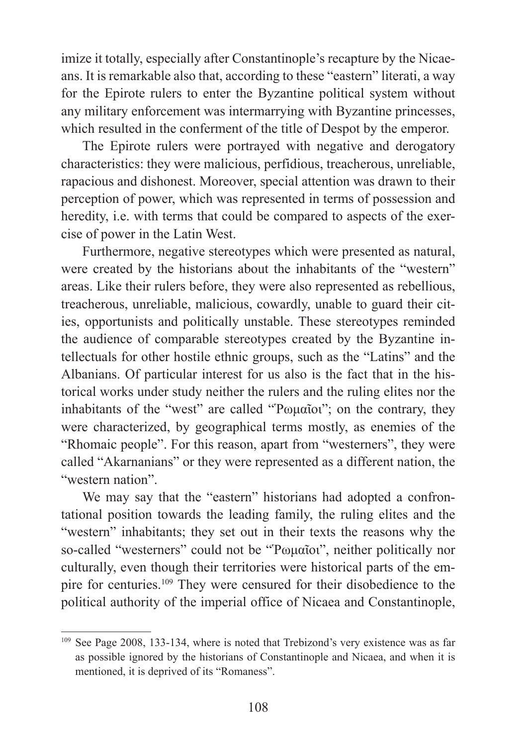imize it totally, especially after Constantinople's recapture by the Nicaeans. It is remarkable also that, according to these "eastern" literati, a way for the Epirote rulers to enter the Byzantine political system without any military enforcement was intermarrying with Byzantine princesses, which resulted in the conferment of the title of Despot by the emperor.

The Epirote rulers were portrayed with negative and derogatory characteristics: they were malicious, perfidious, treacherous, unreliable, rapacious and dishonest. Moreover, special attention was drawn to their perception of power, which was represented in terms of possession and heredity, i.e. with terms that could be compared to aspects of the exercise of power in the Latin West.

Furthermore, negative stereotypes which were presented as natural, were created by the historians about the inhabitants of the "western" areas. Like their rulers before, they were also represented as rebellious, treacherous, unreliable, malicious, cowardly, unable to guard their cities, opportunists and politically unstable. These stereotypes reminded the audience of comparable stereotypes created by the Byzantine intellectuals for other hostile ethnic groups, such as the "Latins" and the Albanians. Of particular interest for us also is the fact that in the historical works under study neither the rulers and the ruling elites nor the inhabitants of the "west" are called "Ῥωμαῖοι"; on the contrary, they were characterized, by geographical terms mostly, as enemies of the "Rhomaic people". For this reason, apart from "westerners", they were called "Akarnanians" or they were represented as a different nation, the "western nation".

We may say that the "eastern" historians had adopted a confrontational position towards the leading family, the ruling elites and the "western" inhabitants; they set out in their texts the reasons why the so-called "westerners" could not be "Ῥωμαῖοι", neither politically nor culturally, even though their territories were historical parts of the empire for centuries.109 They were censured for their disobedience to the political authority of the imperial office of Nicaea and Constantinople,

<sup>109</sup> See Page 2008, 133-134, where is noted that Trebizond's very existence was as far as possible ignored by the historians of Constantinople and Nicaea, and when it is mentioned, it is deprived of its "Romaness".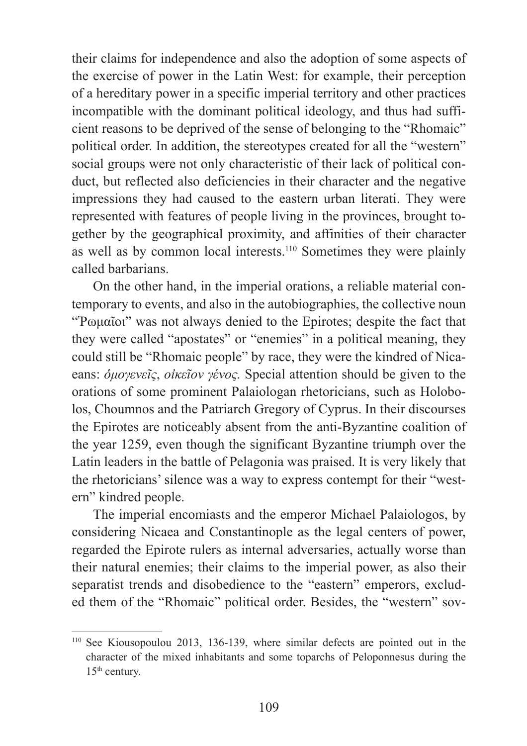their claims for independence and also the adoption of some aspects of the exercise of power in the Latin West: for example, their perception of a hereditary power in a specific imperial territory and other practices incompatible with the dominant political ideology, and thus had sufficient reasons to be deprived of the sense of belonging to the "Rhomaic" political order. In addition, the stereotypes created for all the "western" social groups were not only characteristic of their lack of political conduct, but reflected also deficiencies in their character and the negative impressions they had caused to the eastern urban literati. They were represented with features of people living in the provinces, brought together by the geographical proximity, and affinities of their character as well as by common local interests.<sup>110</sup> Sometimes they were plainly called barbarians.

On the other hand, in the imperial orations, a reliable material contemporary to events, and also in the autobiographies, the collective noun "Ῥωμαῖοι" was not always denied to the Epirotes; despite the fact that they were called "apostates" or "enemies" in a political meaning, they could still be "Rhomaic people" by race, they were the kindred of Nicaeans: *ὁμογενεῖς*, *οἰκεῖον γένος.* Special attention should be given to the orations of some prominent Palaiologan rhetoricians, such as Holobolos, Choumnos and the Patriarch Gregory of Cyprus. In their discourses the Epirotes are noticeably absent from the anti-Byzantine coalition of the year 1259, even though the significant Byzantine triumph over the Latin leaders in the battle of Pelagonia was praised. It is very likely that the rhetoricians' silence was a way to express contempt for their "western" kindred people.

The imperial encomiasts and the emperor Michael Palaiologos, by considering Nicaea and Constantinople as the legal centers of power, regarded the Epirote rulers as internal adversaries, actually worse than their natural enemies; their claims to the imperial power, as also their separatist trends and disobedience to the "eastern" emperors, excluded them of the "Rhomaic" political order. Besides, the "western" sov-

<sup>110</sup> See Kiousopoulou 2013, 136-139, where similar defects are pointed out in the character of the mixed inhabitants and some toparchs of Peloponnesus during the 15th century.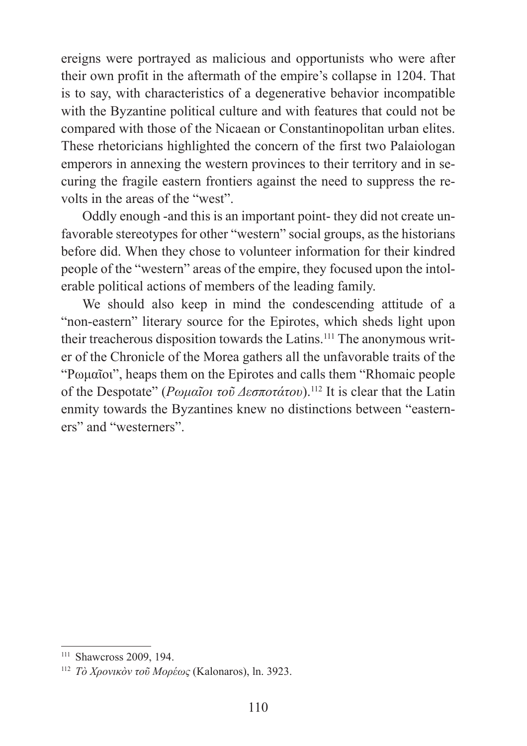ereigns were portrayed as malicious and opportunists who were after their own profit in the aftermath of the empire's collapse in 1204. That is to say, with characteristics of a degenerative behavior incompatible with the Byzantine political culture and with features that could not be compared with those of the Nicaean or Constantinopolitan urban elites. These rhetoricians highlighted the concern of the first two Palaiologan emperors in annexing the western provinces to their territory and in securing the fragile eastern frontiers against the need to suppress the revolts in the areas of the "west".

Oddly enough -and this is an important point- they did not create unfavorable stereotypes for other "western" social groups, as the historians before did. When they chose to volunteer information for their kindred people of the "western" areas of the empire, they focused upon the intolerable political actions of members of the leading family.

We should also keep in mind the condescending attitude of a "non-eastern" literary source for the Epirotes, which sheds light upon their treacherous disposition towards the Latins.<sup>111</sup> The anonymous writer of the Chronicle of the Morea gathers all the unfavorable traits of the "Ρωμαῖοι", heaps them on the Epirotes and calls them "Rhomaic people of the Despotate" (*Ρωμαῖοι τοῦ Δεσποτάτου*).112 It is clear that the Latin enmity towards the Byzantines knew no distinctions between "easterners" and "westerners".

<sup>&</sup>lt;sup>111</sup> Shawcross 2009, 194.

<sup>112</sup> *Τὸ Χρονικὸν τοῦ Ȃορέως* (Kalonaros), ln. 3923.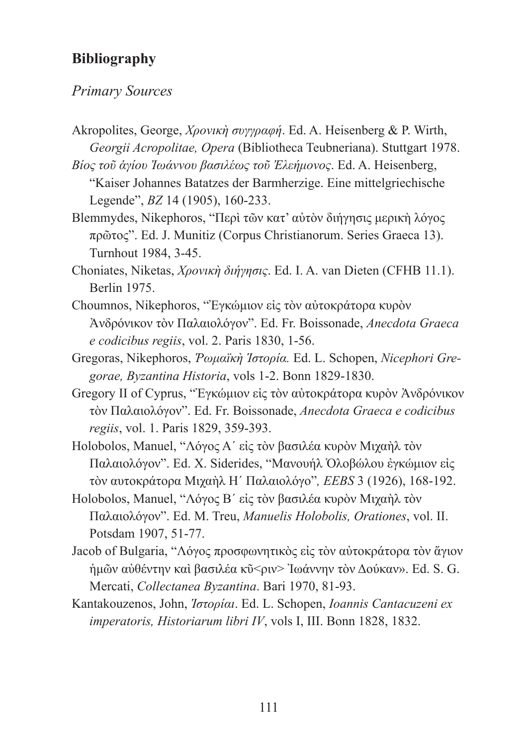### **Bibliography**

### *Primary Sources*

- Akropolites, George, *Χρονικὴ συγγραφή*. Εd. A. Heisenberg & P. Wirth, *Georgii Acropolitae, Opera* (Bibliotheca Teubneriana). Stuttgart 1978.
- *Βίος τοῦ ἁγίου Ἰωάννου βασιλέως τοῦ Ἐλεήμονος*. Εd. A. Heisenberg, "Kaiser Johannes Batatzes der Barmherzige. Eine mittelgriechische Legende", *BZ* 14 (1905), 160-233.
- Blemmydes, Nikephoros, "Περὶ τῶν κατ' αὐτὸν διήγησις μερικὴ λόγος πρῶτος". Ed. J. Munitiz (Corpus Christianorum. Series Graeca 13). Turnhout 1984, 3-45.
- Choniates, Niketas, *Χρονικὴ διήγησις*. Ed. I. Α. van Dieten (CFHB 11.1). Berlin 1975.
- Choumnos, Nikephoros, "Ἐγκώμιον εἰς τὸν αὐτοκράτορα κυρὸν Ἀνδρόνικον τὸν Παλαιολόγον". Εd. Fr. Boissonade, *Anecdota Graeca e codicibus regiis*, vol. 2. Paris 1830, 1-56.
- Gregoras, Nikephoros, *Ῥωμαϊκὴ Ἱστορία.* Εd. L. Schopen, *Nicephori Gregorae, Byzantina Historia*, vols 1-2. Bonn 1829-1830.
- Gregory II of Cyprus, "Ἐγκώμιον εἰς τὸν αὐτοκράτορα κυρὸν Ἀνδρόνικον τὸν Παλαιολόγον". Ed. Fr. Boissonade, *Anecdota Graeca e codicibus regiis*, vol. 1. Paris 1829, 359-393.
- Holobolos, Manuel, "Λόγος Α΄ είς τὸν βασιλέα κυρὸν Μιχαὴλ τὸν Παλαιολόγον". Ed. X. Siderides, "Μανουήλ Όλοβώλου έγκώμιον είς τὸν αυτοκράτορα Ȃιχαὴλ Η΄ Παλαιολόγο"*, EEBS* 3 (1926), 168-192.
- Holobolos, Manuel, "Λόγος Β' εἰς τὸν βασιλέα κυρὸν Μιχαὴλ τὸν Παλαιολόγον". Εd. M. Treu, *Manuelis Holobolis, Orationes*, vol. II. Potsdam 1907, 51-77.
- Jacob of Bulgaria, "Λόγος προσφωνητικὸς εἰς τὸν αὐτοκράτορα τὸν ἅγιον ἡμῶν αὐθέντην καὶ βασιλέα κῦ<ριν> Ἰωάννην τὸν Δούκαν». Ed. S. G. Mercati, *Collectanea Byzantina*. Bari 1970, 81-93.
- Kantakouzenos, John, *Ἱστορίαι*. Ed. L. Schopen, *Ioannis Cantacuzeni ex imperatoris, Historiarum libri IV*, vols I, III. Bonn 1828, 1832.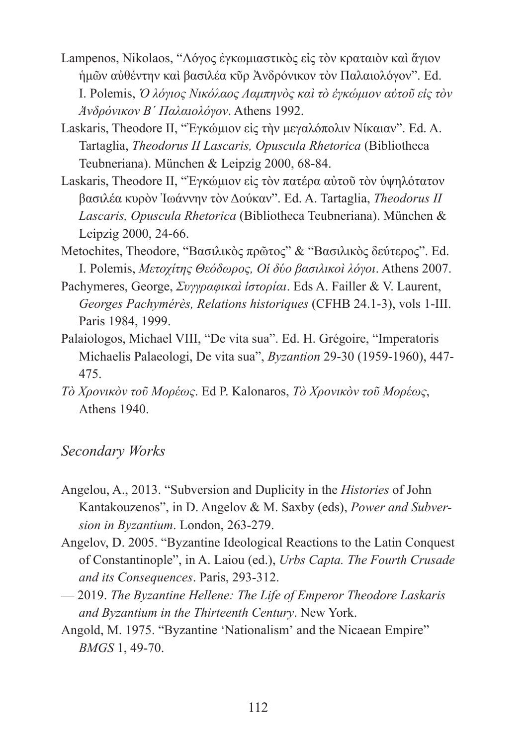- Lampenos, Nikolaos, "Λόγος ἐγκωμιαστικὸς εἰς τὸν κραταιὸν καὶ ἅγιον ἡμῶν αὐθέντην καὶ βασιλέα κῦρ Ἀνδρόνικον τὸν Παλαιολόγον". Εd. ǿ. Polemis, *Ὁ λόγιος ȃικόλαος ȁαμπηνὸς καὶ τὸ ἐγκώμιον αὐτοῦ εἰς τὸν Ἀνδρόνικον Β΄ Παλαιολόγον*. Athens 1992.
- Laskaris, Theodore II, "Έγκώμιον είς την μεγαλόπολιν Νίκαιαν". Ed. A. Tartaglia, *Theodorus II Lascaris, Opuscula Rhetorica* (Bibliotheca Teubneriana). München & Leipzig 2000, 68-84.
- Laskaris, Theodore II, "Ἐγκώμιον εἰς τὸν πατέρα αὐτοῦ τὸν ὑψηλότατον βασιλέα κυρὸν Ἰωάννην τὸν Δούκαν". Ed. A. Tartaglia, *Theodorus II Lascaris, Opuscula Rhetorica* (Bibliotheca Teubneriana). München & Leipzig 2000, 24-66.
- Metochites, Theodore, "Βασιλικὸς πρῶτος" & "Βασιλικὸς δεύτερος". Ed. ǿ. Polemis, *Ȃετοχίτης Θεόδωρος, Οἱ δύο βασιλικοὶ λόγοι*. Athens 2007.
- Pachymeres, George, *Συγγραφικαὶ ἱστορίαι*. Eds A. Failler & V. Laurent, *Georges Pachymérès, Relations historiques* (CFHB 24.1-3), vols 1-III. Paris 1984, 1999.
- Palaiologos, Michael VIII, "De vita sua". Ed. H. Grégoire, "Imperatoris Michaelis Palaeologi, De vita sua", *Byzantion* 29-30 (1959-1960), 447- 475.
- *Τὸ Χρονικὸν τοῦ Ȃορέως*. Ed P. Kalonaros, *Τὸ Χρονικὸν τοῦ Ȃορέως*, Αthens 1940.

### *Secondary Works*

- Angelou, A., 2013. "Subversion and Duplicity in the *Histories* of John Kantakouzenos", in D. Angelov & M. Saxby (eds), *Power and Subversion in Byzantium*. London, 263-279.
- Angelov, D. 2005. "Byzantine Ideological Reactions to the Latin Conquest of Constantinople", in Α. Laiou (ed.), *Urbs Capta. The Fourth Crusade and its Consequences*. Paris, 293-312.
- 2019. *The Byzantine Hellene: The Life of Emperor Theodore Laskaris and Byzantium in the Thirteenth Century*. New York.
- Angold, M. 1975. "Byzantine 'Nationalism' and the Nicaean Empire" *BMGS* 1, 49-70.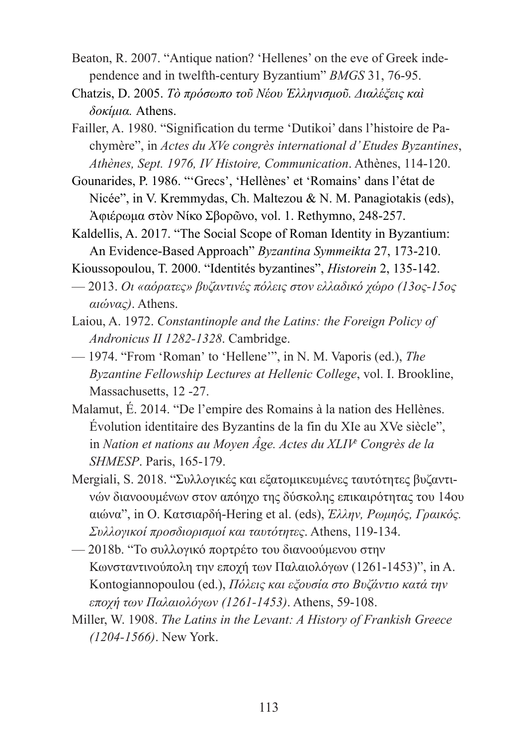- Beaton, R. 2007. "Antique nation? 'Hellenes' on the eve of Greek independence and in twelfth-century Byzantium" *BMGS* 31, 76-95.
- Chatzis, D. 2005. *Τὸ πρόσωπο τοῦ ȃέου Ἑλληνισμοῦ. Διαλέξεις καὶ δοκίμια.* Athens.
- Failler, A. 1980. "Signification du terme 'Dutikoi' dans l'histoire de Pachymère", in *Actes du XVe congrès international d' Etudes Byzantines*, *Athènes, Sept. 1976, IV Histoire, Communication*. Athènes, 114-120.
- Gounarides, P. 1986. "'Grecs', 'Hellènes' et 'Romains' dans l'état de Nicée", in V. Kremmydas, Ch. Maltezou & N. M. Panagiotakis (eds), Ἀφιέρωμα στὸν ȃίκο Σβορῶνο, vol. 1. Rethymno, 248-257.
- Kaldellis, A. 2017. "The Social Scope of Roman Identity in Byzantium: An Evidence-Based Approach" *Byzantina Symmeikta* 27, 173-210.

Kioussopoulou, T. 2000. "Identités byzantines", *Historein* 2, 135-142.

- 2013. *Οι «αόρατες» βυζαντινές πόλεις στον ελλαδικό χώρο (13ος-15ος αιώνας)*. Athens.
- Laiou, A. 1972. *Constantinople and the Latins: the Foreign Policy of Andronicus II 1282-1328*. Cambridge.
- 1974. "From 'Roman' to 'Hellene'", in N. M. Vaporis (ed.), *The Byzantine Fellowship Lectures at Hellenic College*, vol. I. Brookline, Massachusetts, 12-27.
- Malamut, É. 2014. "De l'empire des Romains à la nation des Hellènes. Évolution identitaire des Byzantins de la fin du XIe au XVe siècle", in *Nation et nations au Moyen Âge. Actes du XLIVe Congrès de la SHMESP*. Paris, 165-179.
- Mergiali, S. 2018. "Συλλογικές και εξατομικευμένες ταυτότητες βυζαντινών διανοουμένων στον απόηχο της δύσκολης επικαιρότητας του 14ου αιώνα", in Ο. Ȁατσιαρδή-Hering et al. (eds), *Έλλην, Ρωμηός, Γραικός. Συλλογικοί προσδιορισμοί και ταυτότητες*. Athens, 119-134.
- 2018b. "Το συλλογικό πορτρέτο του διανοούμενου στην Ȁωνσταντινούπολη την εποχή των Παλαιολόγων (1261-1453)", in A. Kontogiannopoulou (ed.), *Πόλεις και εξουσία στο Βυζάντιο κατά την εποχή των Παλαιολόγων (1261-1453)*. Athens, 59-108.
- Miller, W. 1908. *The Latins in the Levant: A History of Frankish Greece (1204-1566)*. New York.